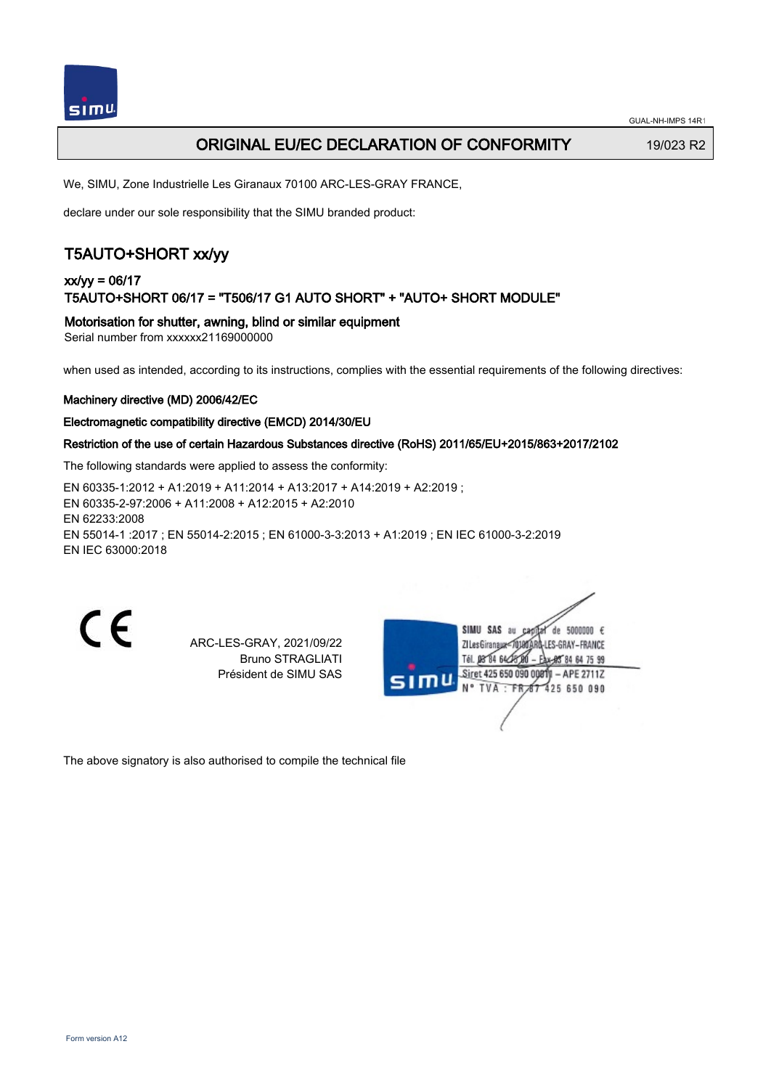

### **ORIGINAL EU/EC DECLARATION OF CONFORMITY** 19/023 R2

We, SIMU, Zone Industrielle Les Giranaux 70100 ARC-LES-GRAY FRANCE,

declare under our sole responsibility that the SIMU branded product:

# T5AUTO+SHORT xx/yy

### xx/yy = 06/17 T5AUTO+SHORT 06/17 = "T506/17 G1 AUTO SHORT" + "AUTO+ SHORT MODULE"

Motorisation for shutter, awning, blind or similar equipment

Serial number from xxxxxx21169000000

when used as intended, according to its instructions, complies with the essential requirements of the following directives:

#### Machinery directive (MD) 2006/42/EC

#### Electromagnetic compatibility directive (EMCD) 2014/30/EU

#### Restriction of the use of certain Hazardous Substances directive (RoHS) 2011/65/EU+2015/863+2017/2102

The following standards were applied to assess the conformity:

EN 60335‑1:2012 + A1:2019 + A11:2014 + A13:2017 + A14:2019 + A2:2019 ; EN 60335‑2‑97:2006 + A11:2008 + A12:2015 + A2:2010 EN 62233:2008 EN 55014‑1 :2017 ; EN 55014‑2:2015 ; EN 61000‑3‑3:2013 + A1:2019 ; EN IEC 61000‑3‑2:2019 EN IEC 63000:2018

 $\epsilon$ 

ARC-LES-GRAY, 2021/09/22 Bruno STRAGLIATI Président de SIMU SAS

| u<br>S <sub>1</sub> | de 5000000 $\epsilon$<br>SIMU<br>SAS<br>au<br>180ARD-LES-GRAY – FRANCE<br>ZI Les Giranaux<br>Tél. 08 84 64 28 00<br>Ax-85 84 64 75 99 |  |
|---------------------|---------------------------------------------------------------------------------------------------------------------------------------|--|
|                     | Siret 425 650 090 00811 - APE 2711Z<br>N° TVA : FR 67 425 650 090                                                                     |  |
|                     |                                                                                                                                       |  |

The above signatory is also authorised to compile the technical file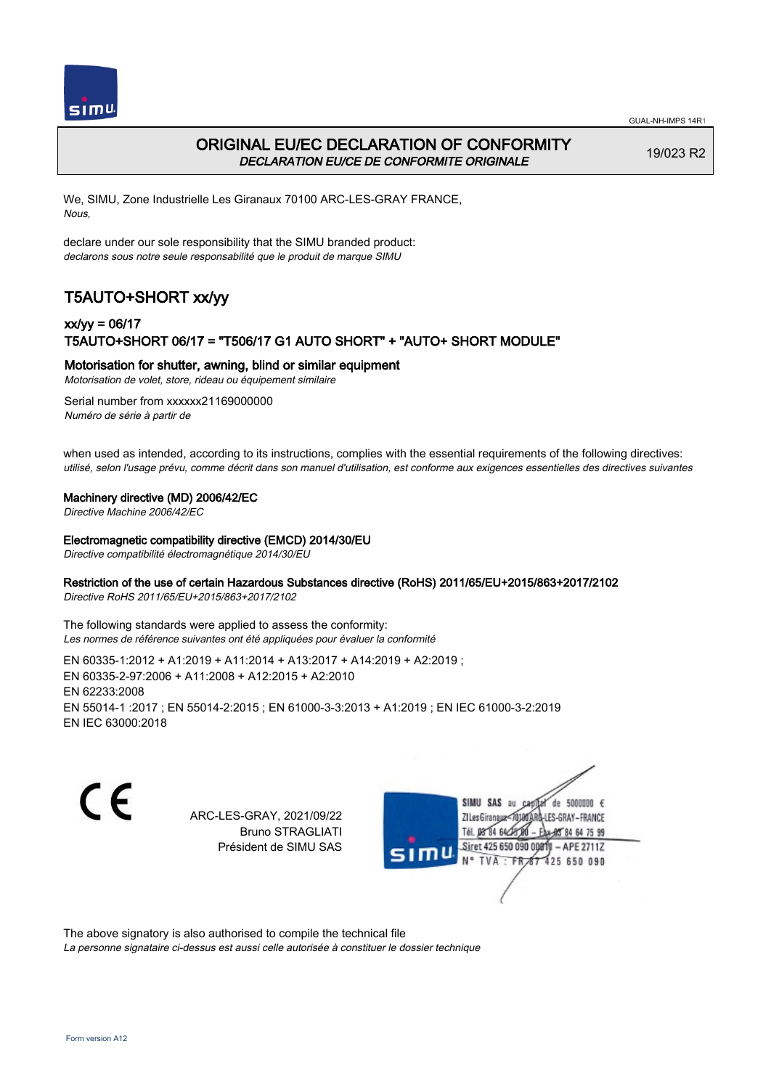



# ORIGINAL EU/EC DECLARATION OF CONFORMITY DECLARATION EU/CE DE CONFORMITE ORIGINALE

19/023 R2

We, SIMU, Zone Industrielle Les Giranaux 70100 ARC-LES-GRAY FRANCE, Nous,

declare under our sole responsibility that the SIMU branded product: declarons sous notre seule responsabilité que le produit de marque SIMU

# T5AUTO+SHORT xx/yy

# xx/yy = 06/17 T5AUTO+SHORT 06/17 = "T506/17 G1 AUTO SHORT" + "AUTO+ SHORT MODULE"

### Motorisation for shutter, awning, blind or similar equipment

Motorisation de volet, store, rideau ou équipement similaire

Serial number from xxxxxx21169000000 Numéro de série à partir de

when used as intended, according to its instructions, complies with the essential requirements of the following directives: utilisé, selon l'usage prévu, comme décrit dans son manuel d'utilisation, est conforme aux exigences essentielles des directives suivantes

### Machinery directive (MD) 2006/42/EC

Directive Machine 2006/42/EC

#### Electromagnetic compatibility directive (EMCD) 2014/30/EU

Directive compatibilité électromagnétique 2014/30/EU

### Restriction of the use of certain Hazardous Substances directive (RoHS) 2011/65/EU+2015/863+2017/2102

Directive RoHS 2011/65/EU+2015/863+2017/2102

The following standards were applied to assess the conformity: Les normes de référence suivantes ont été appliquées pour évaluer la conformité

EN 60335‑1:2012 + A1:2019 + A11:2014 + A13:2017 + A14:2019 + A2:2019 ; EN 60335‑2‑97:2006 + A11:2008 + A12:2015 + A2:2010 EN 62233:2008 EN 55014‑1 :2017 ; EN 55014‑2:2015 ; EN 61000‑3‑3:2013 + A1:2019 ; EN IEC 61000‑3‑2:2019 EN IEC 63000:2018

C F

ARC-LES-GRAY, 2021/09/22 Bruno STRAGLIATI Président de SIMU SAS

de 5000000  $\epsilon$ **ZILes Giranaux** ES-GRAY-FRANCE Tél. 08 84 64 24 84 64 75 99 Siret 425 650 090 00811 - APE 2711Z 425 650 090 N° TVA

The above signatory is also authorised to compile the technical file

La personne signataire ci-dessus est aussi celle autorisée à constituer le dossier technique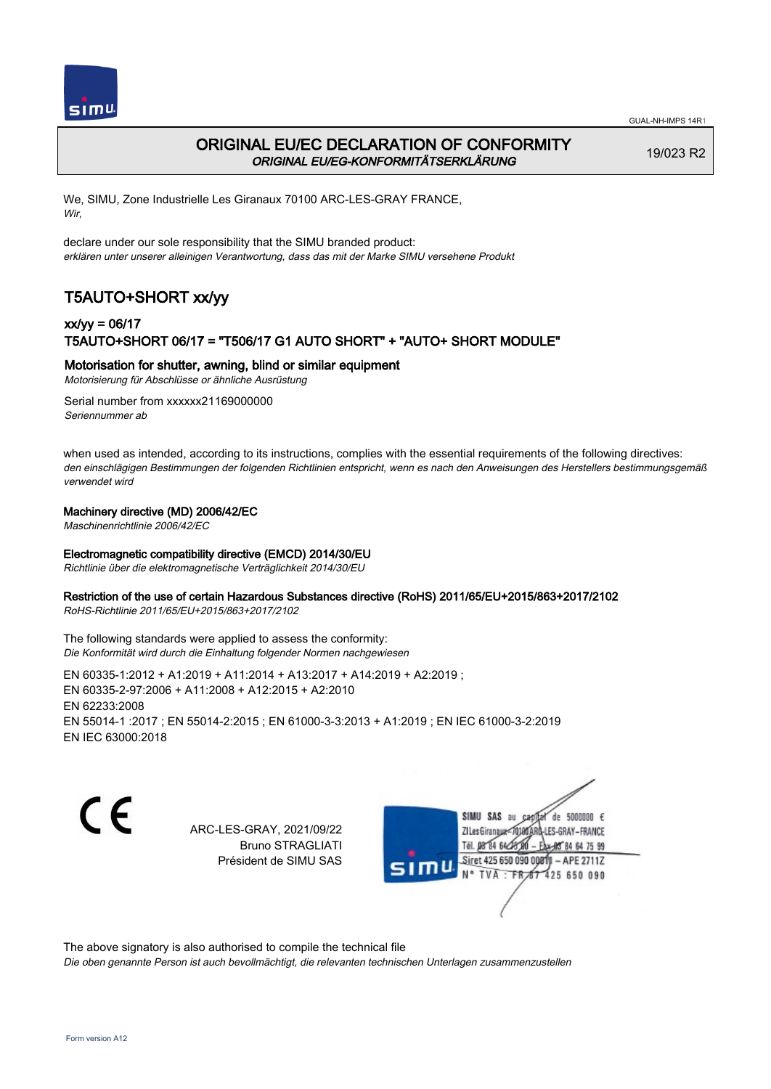



## ORIGINAL EU/EC DECLARATION OF CONFORMITY ORIGINAL EU/EG-KONFORMITÄTSERKLÄRUNG

19/023 R2

We, SIMU, Zone Industrielle Les Giranaux 70100 ARC-LES-GRAY FRANCE, Wir,

declare under our sole responsibility that the SIMU branded product: erklären unter unserer alleinigen Verantwortung, dass das mit der Marke SIMU versehene Produkt

# T5AUTO+SHORT xx/yy

## xx/yy = 06/17 T5AUTO+SHORT 06/17 = "T506/17 G1 AUTO SHORT" + "AUTO+ SHORT MODULE"

### Motorisation for shutter, awning, blind or similar equipment

Motorisierung für Abschlüsse or ähnliche Ausrüstung

Serial number from xxxxxx21169000000 Seriennummer ab

when used as intended, according to its instructions, complies with the essential requirements of the following directives: den einschlägigen Bestimmungen der folgenden Richtlinien entspricht, wenn es nach den Anweisungen des Herstellers bestimmungsgemäß verwendet wird

### Machinery directive (MD) 2006/42/EC

Maschinenrichtlinie 2006/42/EC

### Electromagnetic compatibility directive (EMCD) 2014/30/EU

Richtlinie über die elektromagnetische Verträglichkeit 2014/30/EU

### Restriction of the use of certain Hazardous Substances directive (RoHS) 2011/65/EU+2015/863+2017/2102

RoHS-Richtlinie 2011/65/EU+2015/863+2017/2102

#### The following standards were applied to assess the conformity: Die Konformität wird durch die Einhaltung folgender Normen nachgewiesen

EN 60335‑1:2012 + A1:2019 + A11:2014 + A13:2017 + A14:2019 + A2:2019 ; EN 60335‑2‑97:2006 + A11:2008 + A12:2015 + A2:2010 EN 62233:2008 EN 55014‑1 :2017 ; EN 55014‑2:2015 ; EN 61000‑3‑3:2013 + A1:2019 ; EN IEC 61000‑3‑2:2019 EN IEC 63000:2018

C E

ARC-LES-GRAY, 2021/09/22 Bruno STRAGLIATI Président de SIMU SAS

SIMU SAS de 5000000  $\epsilon$ **ZILes Giranaux** ES-GRAY-FRANCE 64 75 99 Siret 425 650 090 00811  $-$  APE 2711Z 425 650 090

The above signatory is also authorised to compile the technical file

Die oben genannte Person ist auch bevollmächtigt, die relevanten technischen Unterlagen zusammenzustellen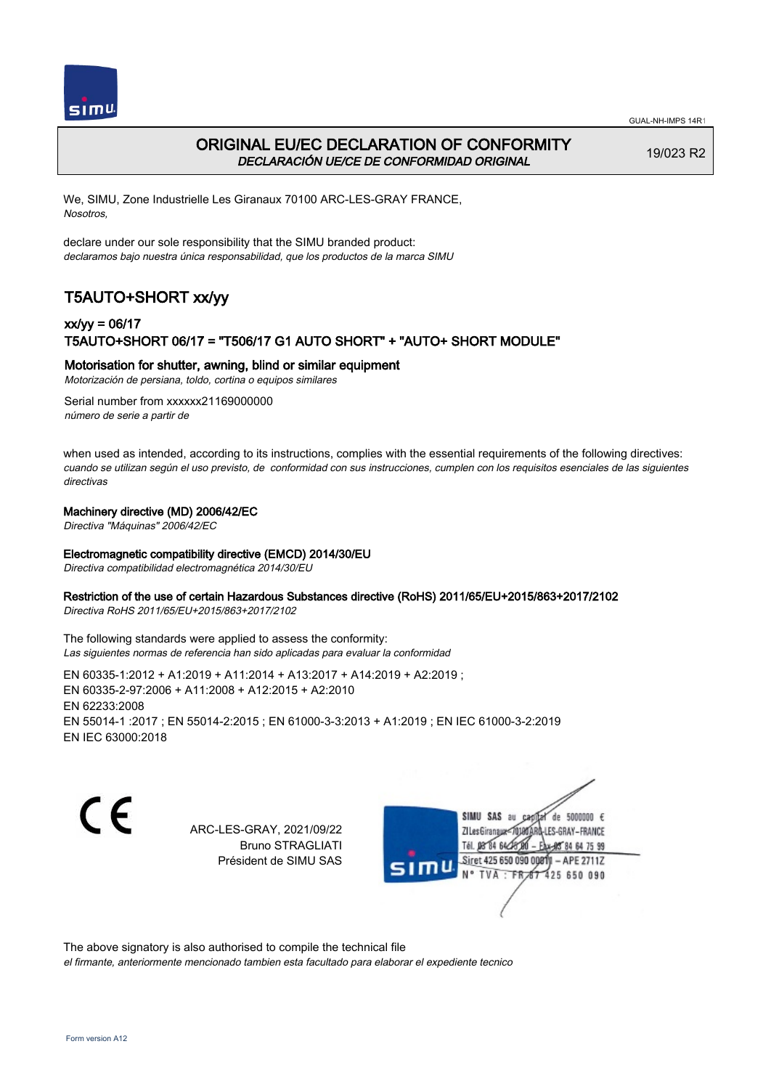



## ORIGINAL EU/EC DECLARATION OF CONFORMITY DECLARACIÓN UE/CE DE CONFORMIDAD ORIGINAL

19/023 R2

We, SIMU, Zone Industrielle Les Giranaux 70100 ARC-LES-GRAY FRANCE, Nosotros,

declare under our sole responsibility that the SIMU branded product: declaramos bajo nuestra única responsabilidad, que los productos de la marca SIMU

# T5AUTO+SHORT xx/yy

## xx/yy = 06/17 T5AUTO+SHORT 06/17 = "T506/17 G1 AUTO SHORT" + "AUTO+ SHORT MODULE"

### Motorisation for shutter, awning, blind or similar equipment

Motorización de persiana, toldo, cortina o equipos similares

Serial number from xxxxxx21169000000 número de serie a partir de

when used as intended, according to its instructions, complies with the essential requirements of the following directives: cuando se utilizan según el uso previsto, de conformidad con sus instrucciones, cumplen con los requisitos esenciales de las siguientes directivas

#### Machinery directive (MD) 2006/42/EC

Directiva "Máquinas" 2006/42/EC

#### Electromagnetic compatibility directive (EMCD) 2014/30/EU

Directiva compatibilidad electromagnética 2014/30/EU

#### Restriction of the use of certain Hazardous Substances directive (RoHS) 2011/65/EU+2015/863+2017/2102

Directiva RoHS 2011/65/EU+2015/863+2017/2102

The following standards were applied to assess the conformity: Las siguientes normas de referencia han sido aplicadas para evaluar la conformidad

EN 60335‑1:2012 + A1:2019 + A11:2014 + A13:2017 + A14:2019 + A2:2019 ; EN 60335‑2‑97:2006 + A11:2008 + A12:2015 + A2:2010 EN 62233:2008 EN 55014‑1 :2017 ; EN 55014‑2:2015 ; EN 61000‑3‑3:2013 + A1:2019 ; EN IEC 61000‑3‑2:2019 EN IEC 63000:2018

C E

ARC-LES-GRAY, 2021/09/22 Bruno STRAGLIATI Président de SIMU SAS

SIMU SAS au de 5000000  $\epsilon$ **ZILes Giranaux** ES-GRAY-FRANCE 64 75 99 Siret 425 650 090 00811  $-$  APE 2711Z 425 650 090

The above signatory is also authorised to compile the technical file

el firmante, anteriormente mencionado tambien esta facultado para elaborar el expediente tecnico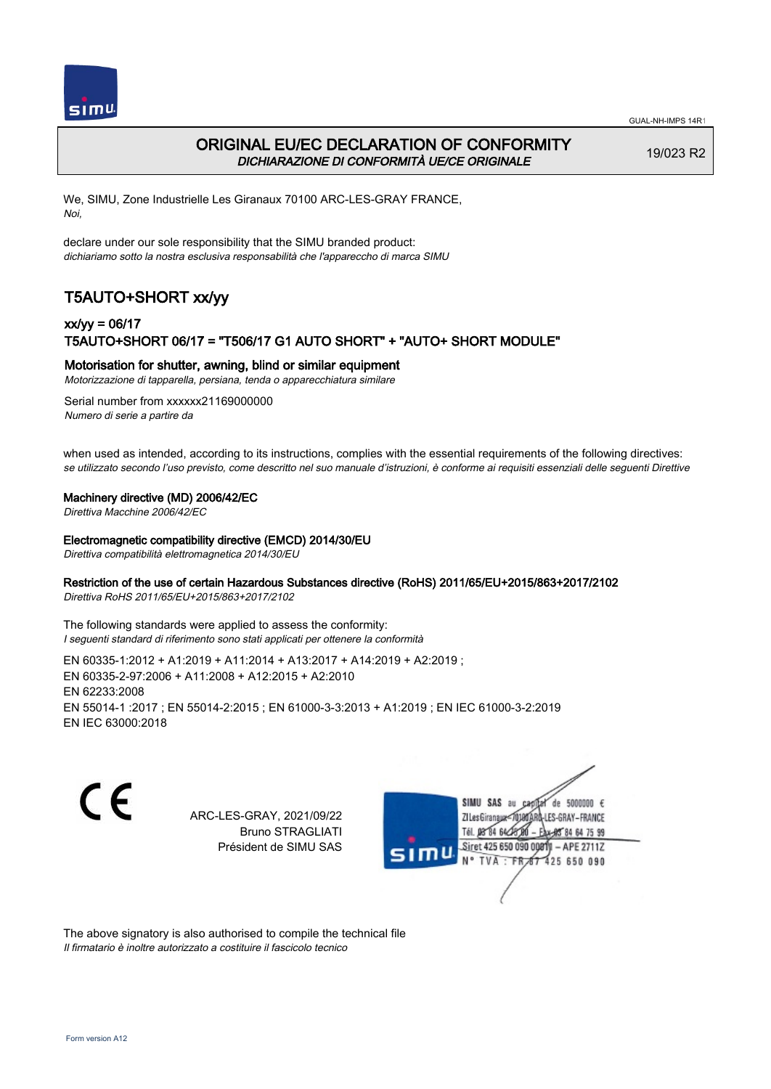



# ORIGINAL EU/EC DECLARATION OF CONFORMITY DICHIARAZIONE DI CONFORMITÀ UE/CE ORIGINALE

19/023 R2

We, SIMU, Zone Industrielle Les Giranaux 70100 ARC-LES-GRAY FRANCE, Noi,

declare under our sole responsibility that the SIMU branded product: dichiariamo sotto la nostra esclusiva responsabilità che l'appareccho di marca SIMU

# T5AUTO+SHORT xx/yy

# xx/yy = 06/17 T5AUTO+SHORT 06/17 = "T506/17 G1 AUTO SHORT" + "AUTO+ SHORT MODULE"

#### Motorisation for shutter, awning, blind or similar equipment

Motorizzazione di tapparella, persiana, tenda o apparecchiatura similare

Serial number from xxxxxx21169000000 Numero di serie a partire da

when used as intended, according to its instructions, complies with the essential requirements of the following directives: se utilizzato secondo l'uso previsto, come descritto nel suo manuale d'istruzioni, è conforme ai requisiti essenziali delle seguenti Direttive

#### Machinery directive (MD) 2006/42/EC

Direttiva Macchine 2006/42/EC

#### Electromagnetic compatibility directive (EMCD) 2014/30/EU

Direttiva compatibilità elettromagnetica 2014/30/EU

#### Restriction of the use of certain Hazardous Substances directive (RoHS) 2011/65/EU+2015/863+2017/2102

Direttiva RoHS 2011/65/EU+2015/863+2017/2102

The following standards were applied to assess the conformity: I seguenti standard di riferimento sono stati applicati per ottenere la conformità

EN 60335‑1:2012 + A1:2019 + A11:2014 + A13:2017 + A14:2019 + A2:2019 ; EN 60335‑2‑97:2006 + A11:2008 + A12:2015 + A2:2010 EN 62233:2008 EN 55014‑1 :2017 ; EN 55014‑2:2015 ; EN 61000‑3‑3:2013 + A1:2019 ; EN IEC 61000‑3‑2:2019 EN IEC 63000:2018

C F

ARC-LES-GRAY, 2021/09/22 Bruno STRAGLIATI Président de SIMU SAS



The above signatory is also authorised to compile the technical file Il firmatario è inoltre autorizzato a costituire il fascicolo tecnico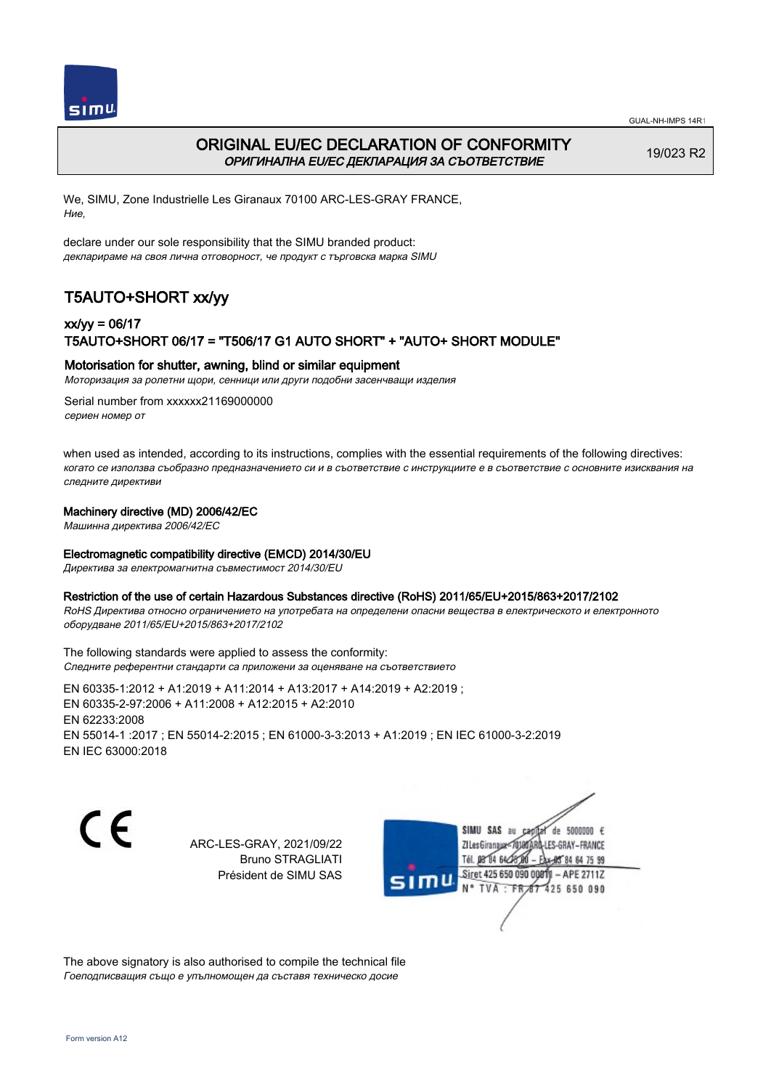



## ORIGINAL EU/EC DECLARATION OF CONFORMITY ОРИГИНАЛНА EU/EC ДЕКЛАРАЦИЯ ЗА СЪОТВЕТСТВИЕ

19/023 R2

We, SIMU, Zone Industrielle Les Giranaux 70100 ARC-LES-GRAY FRANCE, Ние,

declare under our sole responsibility that the SIMU branded product: декларираме на своя лична отговорност, че продукт с търговска марка SIMU

# T5AUTO+SHORT xx/yy

## xx/yy = 06/17 T5AUTO+SHORT 06/17 = "T506/17 G1 AUTO SHORT" + "AUTO+ SHORT MODULE"

#### Motorisation for shutter, awning, blind or similar equipment

Моторизация за ролетни щори, сенници или други подобни засенчващи изделия

Serial number from xxxxxx21169000000 сериен номер от

when used as intended, according to its instructions, complies with the essential requirements of the following directives: когато се използва съобразно предназначението си и в съответствие с инструкциите е в съответствие с основните изисквания на следните директиви

#### Machinery directive (MD) 2006/42/EC

Машинна директива 2006/42/EC

#### Electromagnetic compatibility directive (EMCD) 2014/30/EU

Директива за електромагнитна съвместимост 2014/30/EU

#### Restriction of the use of certain Hazardous Substances directive (RoHS) 2011/65/EU+2015/863+2017/2102

RoHS Директива относно ограничението на употребата на определени опасни вещества в електрическото и електронното оборудване 2011/65/EU+2015/863+2017/2102

The following standards were applied to assess the conformity: Следните референтни стандарти са приложени за оценяване на съответствието

EN 60335‑1:2012 + A1:2019 + A11:2014 + A13:2017 + A14:2019 + A2:2019 ; EN 60335‑2‑97:2006 + A11:2008 + A12:2015 + A2:2010 EN 62233:2008 EN 55014‑1 :2017 ; EN 55014‑2:2015 ; EN 61000‑3‑3:2013 + A1:2019 ; EN IEC 61000‑3‑2:2019 EN IEC 63000:2018

C F

ARC-LES-GRAY, 2021/09/22 Bruno STRAGLIATI Président de SIMU SAS



The above signatory is also authorised to compile the technical file Гоеподписващия също е упълномощен да съставя техническо досие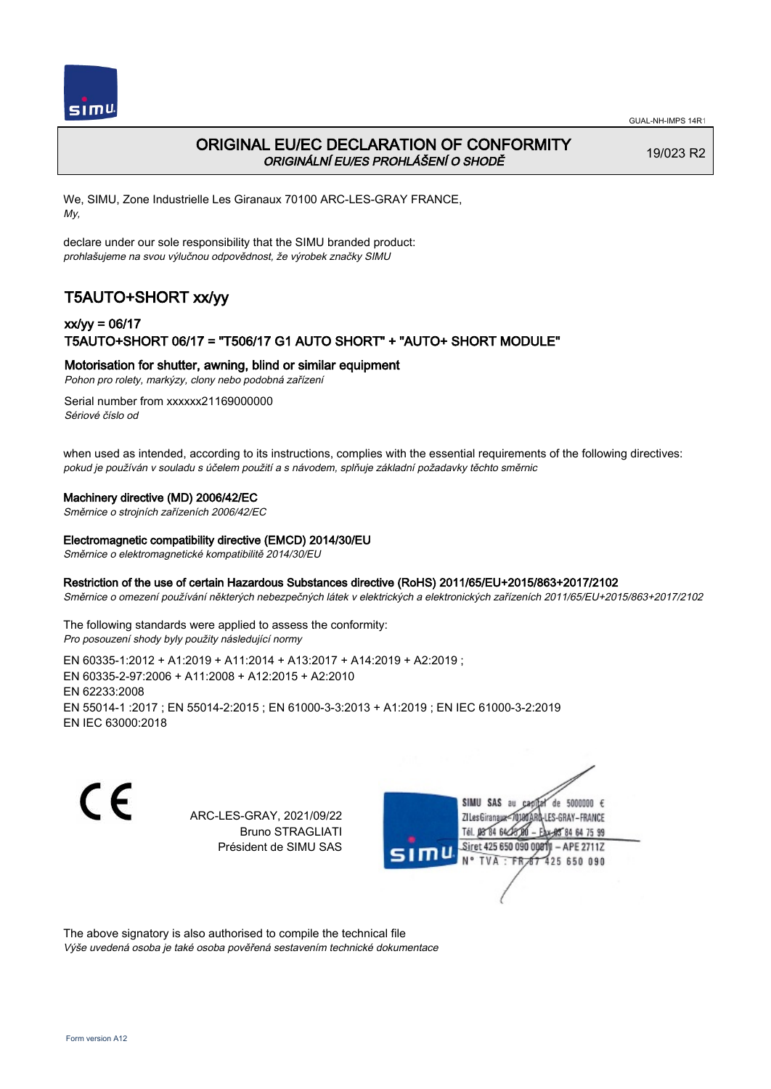

# ORIGINAL EU/EC DECLARATION OF CONFORMITY ORIGINÁLNÍ EU/ES PROHLÁŠENÍ O SHODĚ

19/023 R2

We, SIMU, Zone Industrielle Les Giranaux 70100 ARC-LES-GRAY FRANCE, My,

declare under our sole responsibility that the SIMU branded product: prohlašujeme na svou výlučnou odpovědnost, že výrobek značky SIMU

# T5AUTO+SHORT xx/yy

## xx/yy = 06/17 T5AUTO+SHORT 06/17 = "T506/17 G1 AUTO SHORT" + "AUTO+ SHORT MODULE"

### Motorisation for shutter, awning, blind or similar equipment

Pohon pro rolety, markýzy, clony nebo podobná zařízení

Serial number from xxxxxx21169000000 Sériové číslo od

when used as intended, according to its instructions, complies with the essential requirements of the following directives: pokud je používán v souladu s účelem použití a s návodem, splňuje základní požadavky těchto směrnic

### Machinery directive (MD) 2006/42/EC

Směrnice o strojních zařízeních 2006/42/EC

#### Electromagnetic compatibility directive (EMCD) 2014/30/EU

Směrnice o elektromagnetické kompatibilitě 2014/30/EU

#### Restriction of the use of certain Hazardous Substances directive (RoHS) 2011/65/EU+2015/863+2017/2102

Směrnice o omezení používání některých nebezpečných látek v elektrických a elektronických zařízeních 2011/65/EU+2015/863+2017/2102

The following standards were applied to assess the conformity: Pro posouzení shody byly použity následující normy

EN 60335‑1:2012 + A1:2019 + A11:2014 + A13:2017 + A14:2019 + A2:2019 ; EN 60335‑2‑97:2006 + A11:2008 + A12:2015 + A2:2010 EN 62233:2008 EN 55014‑1 :2017 ; EN 55014‑2:2015 ; EN 61000‑3‑3:2013 + A1:2019 ; EN IEC 61000‑3‑2:2019 EN IEC 63000:2018

C E

ARC-LES-GRAY, 2021/09/22 Bruno STRAGLIATI Président de SIMU SAS



The above signatory is also authorised to compile the technical file

Výše uvedená osoba je také osoba pověřená sestavením technické dokumentace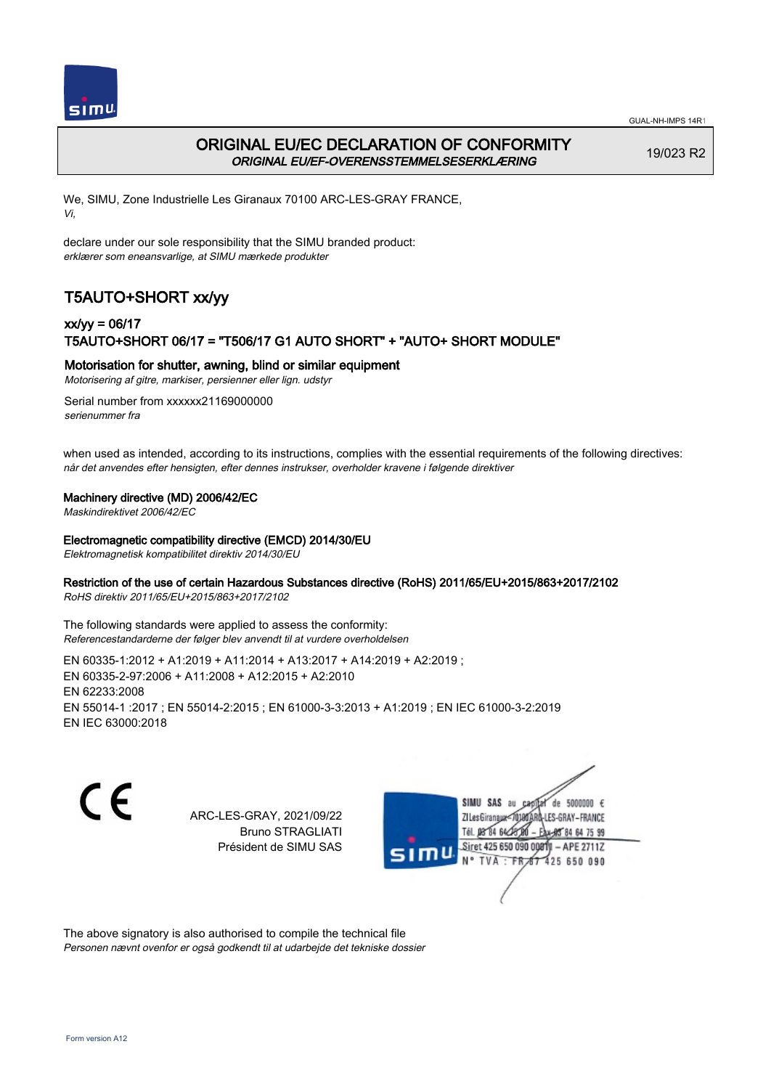



## ORIGINAL EU/EC DECLARATION OF CONFORMITY ORIGINAL EU/EF-OVERENSSTEMMELSESERKLÆRING

19/023 R2

We, SIMU, Zone Industrielle Les Giranaux 70100 ARC-LES-GRAY FRANCE, Vi,

declare under our sole responsibility that the SIMU branded product: erklærer som eneansvarlige, at SIMU mærkede produkter

# T5AUTO+SHORT xx/yy

# xx/yy = 06/17 T5AUTO+SHORT 06/17 = "T506/17 G1 AUTO SHORT" + "AUTO+ SHORT MODULE"

### Motorisation for shutter, awning, blind or similar equipment

Motorisering af gitre, markiser, persienner eller lign. udstyr

Serial number from xxxxxx21169000000 serienummer fra

when used as intended, according to its instructions, complies with the essential requirements of the following directives: når det anvendes efter hensigten, efter dennes instrukser, overholder kravene i følgende direktiver

### Machinery directive (MD) 2006/42/EC

Maskindirektivet 2006/42/EC

#### Electromagnetic compatibility directive (EMCD) 2014/30/EU

Elektromagnetisk kompatibilitet direktiv 2014/30/EU

### Restriction of the use of certain Hazardous Substances directive (RoHS) 2011/65/EU+2015/863+2017/2102

RoHS direktiv 2011/65/EU+2015/863+2017/2102

The following standards were applied to assess the conformity: Referencestandarderne der følger blev anvendt til at vurdere overholdelsen

EN 60335‑1:2012 + A1:2019 + A11:2014 + A13:2017 + A14:2019 + A2:2019 ; EN 60335‑2‑97:2006 + A11:2008 + A12:2015 + A2:2010 EN 62233:2008 EN 55014‑1 :2017 ; EN 55014‑2:2015 ; EN 61000‑3‑3:2013 + A1:2019 ; EN IEC 61000‑3‑2:2019 EN IEC 63000:2018

 $\epsilon$ 

ARC-LES-GRAY, 2021/09/22 Bruno STRAGLIATI Président de SIMU SAS



The above signatory is also authorised to compile the technical file Personen nævnt ovenfor er også godkendt til at udarbejde det tekniske dossier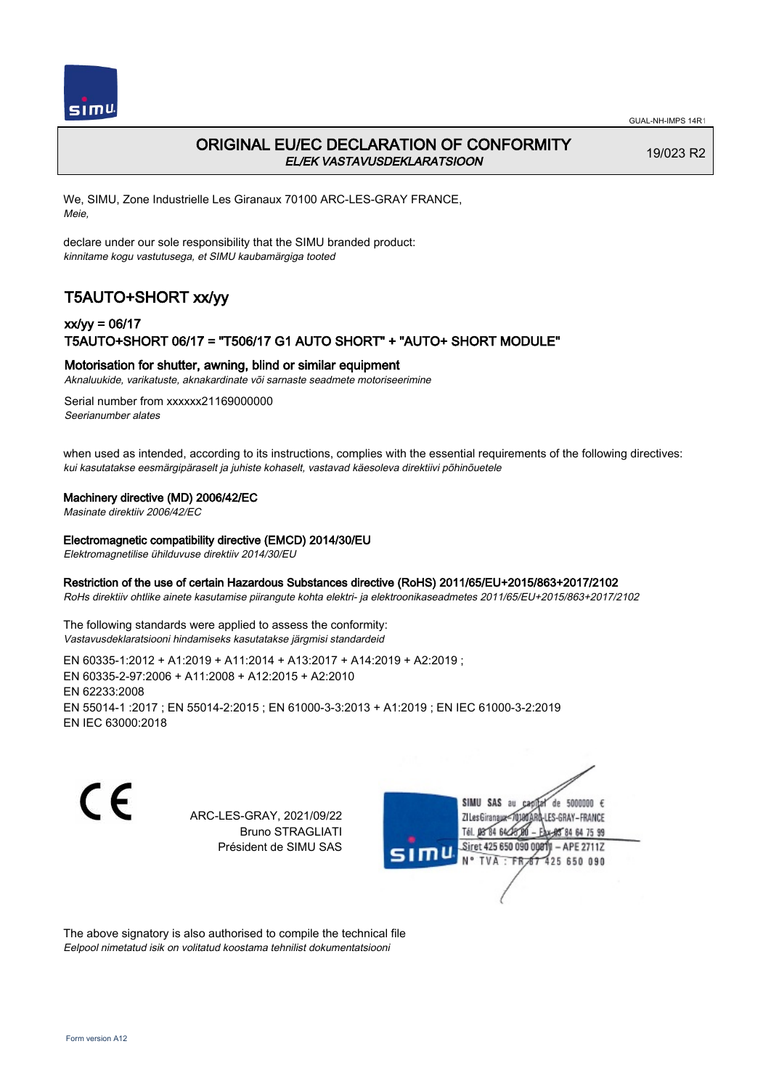

# ORIGINAL EU/EC DECLARATION OF CONFORMITY EL/EK VASTAVUSDEKLARATSIOON

19/023 R2

We, SIMU, Zone Industrielle Les Giranaux 70100 ARC-LES-GRAY FRANCE, Meie,

declare under our sole responsibility that the SIMU branded product: kinnitame kogu vastutusega, et SIMU kaubamärgiga tooted

# T5AUTO+SHORT xx/yy

# xx/yy = 06/17 T5AUTO+SHORT 06/17 = "T506/17 G1 AUTO SHORT" + "AUTO+ SHORT MODULE"

### Motorisation for shutter, awning, blind or similar equipment

Aknaluukide, varikatuste, aknakardinate või sarnaste seadmete motoriseerimine

Serial number from xxxxxx21169000000 Seerianumber alates

when used as intended, according to its instructions, complies with the essential requirements of the following directives: kui kasutatakse eesmärgipäraselt ja juhiste kohaselt, vastavad käesoleva direktiivi põhinõuetele

### Machinery directive (MD) 2006/42/EC

Masinate direktiiv 2006/42/EC

#### Electromagnetic compatibility directive (EMCD) 2014/30/EU

Elektromagnetilise ühilduvuse direktiiv 2014/30/EU

#### Restriction of the use of certain Hazardous Substances directive (RoHS) 2011/65/EU+2015/863+2017/2102

RoHs direktiiv ohtlike ainete kasutamise piirangute kohta elektri- ja elektroonikaseadmetes 2011/65/EU+2015/863+2017/2102

The following standards were applied to assess the conformity: Vastavusdeklaratsiooni hindamiseks kasutatakse järgmisi standardeid

EN 60335‑1:2012 + A1:2019 + A11:2014 + A13:2017 + A14:2019 + A2:2019 ; EN 60335‑2‑97:2006 + A11:2008 + A12:2015 + A2:2010 EN 62233:2008 EN 55014‑1 :2017 ; EN 55014‑2:2015 ; EN 61000‑3‑3:2013 + A1:2019 ; EN IEC 61000‑3‑2:2019 EN IEC 63000:2018

C E

ARC-LES-GRAY, 2021/09/22 Bruno STRAGLIATI Président de SIMU SAS



The above signatory is also authorised to compile the technical file Eelpool nimetatud isik on volitatud koostama tehnilist dokumentatsiooni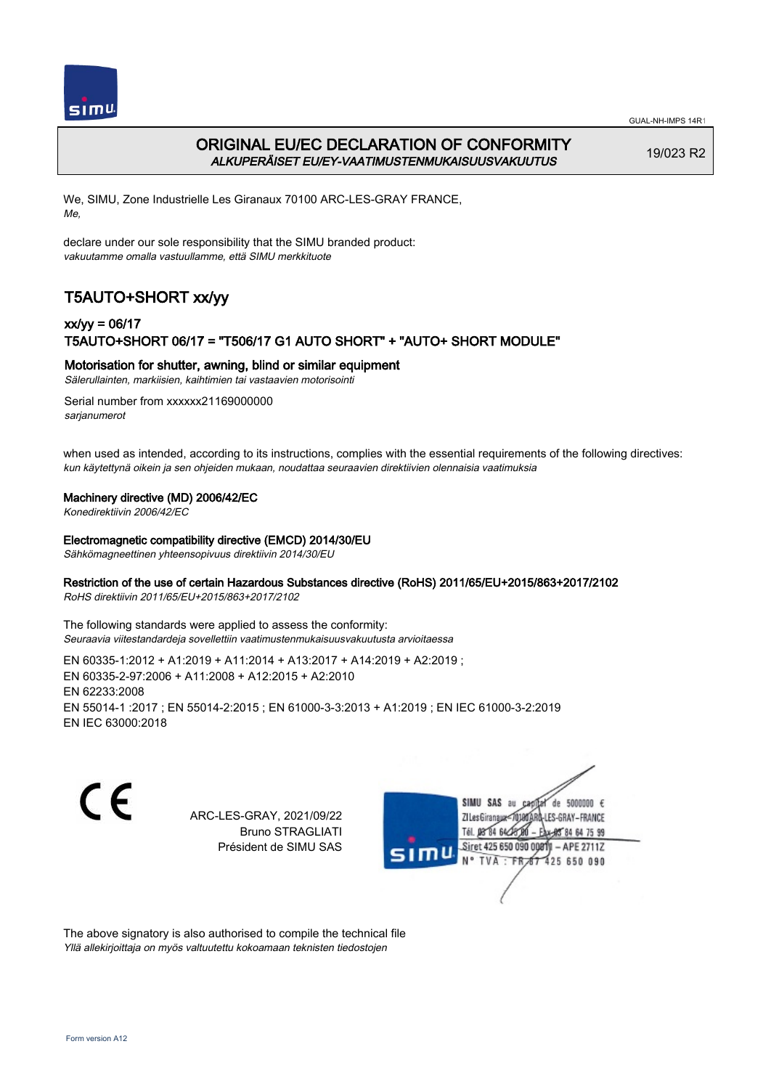

# ORIGINAL EU/EC DECLARATION OF CONFORMITY ALKUPERÄISET EU/EY-VAATIMUSTENMUKAISUUSVAKUUTUS

19/023 R2

We, SIMU, Zone Industrielle Les Giranaux 70100 ARC-LES-GRAY FRANCE, Me,

declare under our sole responsibility that the SIMU branded product: vakuutamme omalla vastuullamme, että SIMU merkkituote

# T5AUTO+SHORT xx/yy

# xx/yy = 06/17 T5AUTO+SHORT 06/17 = "T506/17 G1 AUTO SHORT" + "AUTO+ SHORT MODULE"

Motorisation for shutter, awning, blind or similar equipment

Sälerullainten, markiisien, kaihtimien tai vastaavien motorisointi

Serial number from xxxxxx21169000000 sarianumerot

when used as intended, according to its instructions, complies with the essential requirements of the following directives: kun käytettynä oikein ja sen ohjeiden mukaan, noudattaa seuraavien direktiivien olennaisia vaatimuksia

#### Machinery directive (MD) 2006/42/EC

Konedirektiivin 2006/42/EC

#### Electromagnetic compatibility directive (EMCD) 2014/30/EU

Sähkömagneettinen yhteensopivuus direktiivin 2014/30/EU

### Restriction of the use of certain Hazardous Substances directive (RoHS) 2011/65/EU+2015/863+2017/2102

RoHS direktiivin 2011/65/EU+2015/863+2017/2102

The following standards were applied to assess the conformity: Seuraavia viitestandardeja sovellettiin vaatimustenmukaisuusvakuutusta arvioitaessa

EN 60335‑1:2012 + A1:2019 + A11:2014 + A13:2017 + A14:2019 + A2:2019 ; EN 60335‑2‑97:2006 + A11:2008 + A12:2015 + A2:2010 EN 62233:2008 EN 55014‑1 :2017 ; EN 55014‑2:2015 ; EN 61000‑3‑3:2013 + A1:2019 ; EN IEC 61000‑3‑2:2019 EN IEC 63000:2018

C F

ARC-LES-GRAY, 2021/09/22 Bruno STRAGLIATI Président de SIMU SAS



The above signatory is also authorised to compile the technical file Yllä allekirjoittaja on myös valtuutettu kokoamaan teknisten tiedostojen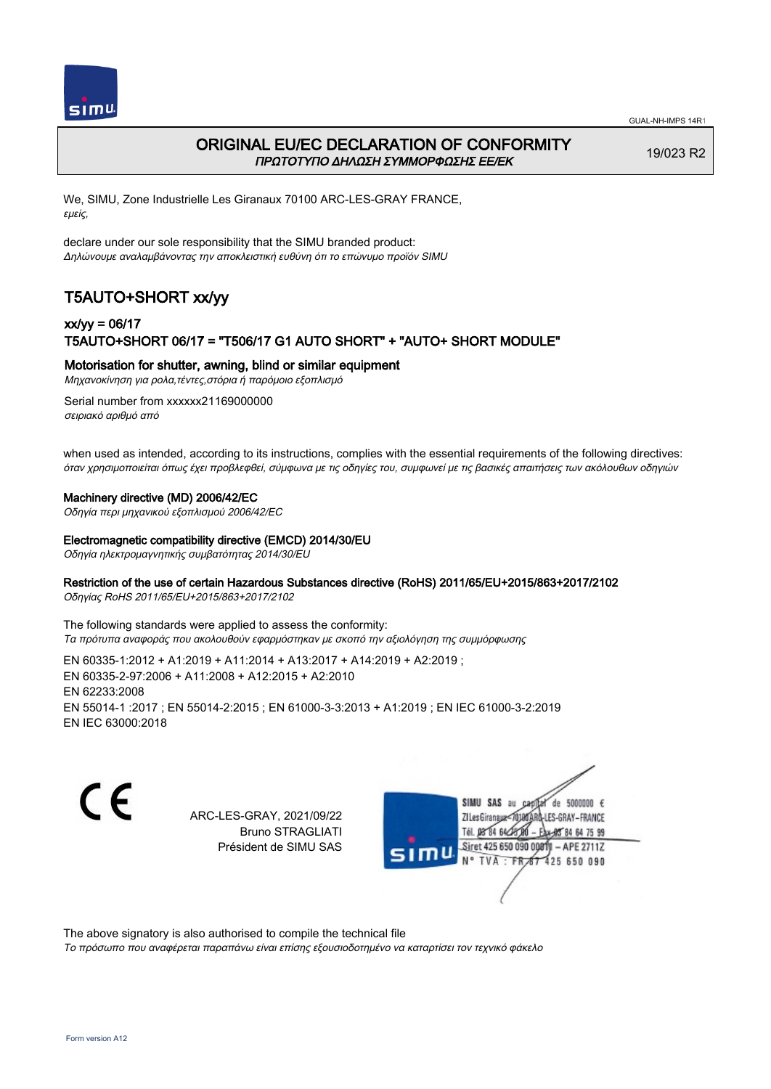



## ORIGINAL EU/EC DECLARATION OF CONFORMITY ΠΡΩΤΟΤΥΠΟ ΔΗΛΩΣΗ ΣΥΜΜΟΡΦΩΣΗΣ ΕΕ/EK

19/023 R2

We, SIMU, Zone Industrielle Les Giranaux 70100 ARC-LES-GRAY FRANCE, εμείς,

declare under our sole responsibility that the SIMU branded product: Δηλώνουμε αναλαμβάνοντας την αποκλειστική ευθύνη ότι το επώνυμο προϊόν SIMU

# T5AUTO+SHORT xx/yy

## xx/yy = 06/17 T5AUTO+SHORT 06/17 = "T506/17 G1 AUTO SHORT" + "AUTO+ SHORT MODULE"

Motorisation for shutter, awning, blind or similar equipment

Μηχανοκίνηση για ρολα,τέντες,στόρια ή παρόμοιο εξοπλισμό

Serial number from xxxxxx21169000000 σειριακό αριθμό από

when used as intended, according to its instructions, complies with the essential requirements of the following directives: όταν χρησιμοποιείται όπως έχει προβλεφθεί, σύμφωνα με τις οδηγίες του, συμφωνεί με τις βασικές απαιτήσεις των ακόλουθων οδηγιών

### Machinery directive (MD) 2006/42/EC

Οδηγία περι μηχανικού εξοπλισμού 2006/42/EC

### Electromagnetic compatibility directive (EMCD) 2014/30/EU

Οδηγία ηλεκτρομαγνητικής συμβατότητας 2014/30/EU

### Restriction of the use of certain Hazardous Substances directive (RoHS) 2011/65/EU+2015/863+2017/2102

Οδηγίας RoHS 2011/65/EU+2015/863+2017/2102

The following standards were applied to assess the conformity: Τα πρότυπα αναφοράς που ακολουθούν εφαρμόστηκαν με σκοπό την αξιολόγηση της συμμόρφωσης

EN 60335‑1:2012 + A1:2019 + A11:2014 + A13:2017 + A14:2019 + A2:2019 ; EN 60335‑2‑97:2006 + A11:2008 + A12:2015 + A2:2010 EN 62233:2008 EN 55014‑1 :2017 ; EN 55014‑2:2015 ; EN 61000‑3‑3:2013 + A1:2019 ; EN IEC 61000‑3‑2:2019 EN IEC 63000:2018

C E

ARC-LES-GRAY, 2021/09/22 Bruno STRAGLIATI Président de SIMU SAS



The above signatory is also authorised to compile the technical file

Το πρόσωπο που αναφέρεται παραπάνω είναι επίσης εξουσιοδοτημένο να καταρτίσει τον τεχνικό φάκελο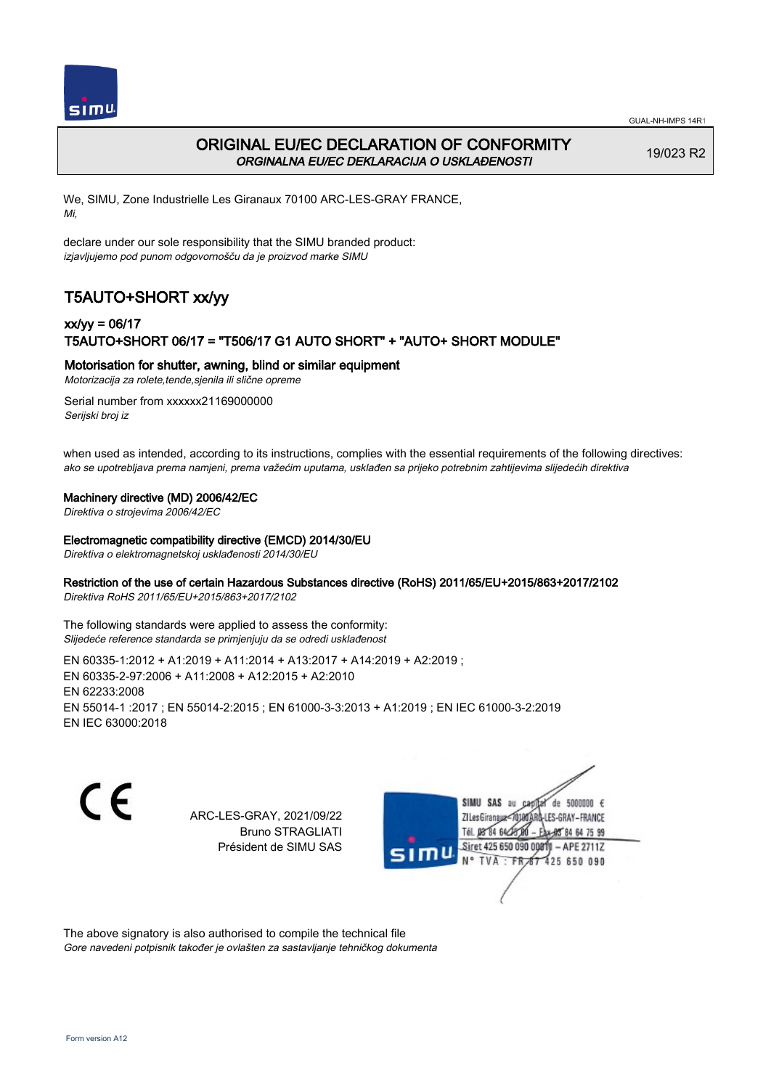

# ORIGINAL EU/EC DECLARATION OF CONFORMITY ORGINALNA EU/EC DEKLARACIJA O USKLAĐENOSTI

19/023 R2

We, SIMU, Zone Industrielle Les Giranaux 70100 ARC-LES-GRAY FRANCE, Mi,

declare under our sole responsibility that the SIMU branded product: izjavljujemo pod punom odgovornošču da je proizvod marke SIMU

# T5AUTO+SHORT xx/yy

## xx/yy = 06/17 T5AUTO+SHORT 06/17 = "T506/17 G1 AUTO SHORT" + "AUTO+ SHORT MODULE"

### Motorisation for shutter, awning, blind or similar equipment

Motorizacija za rolete,tende,sjenila ili slične opreme

Serial number from xxxxxx21169000000 Serijski broj iz

when used as intended, according to its instructions, complies with the essential requirements of the following directives: ako se upotrebljava prema namjeni, prema važećim uputama, usklađen sa prijeko potrebnim zahtijevima slijedećih direktiva

### Machinery directive (MD) 2006/42/EC

Direktiva o strojevima 2006/42/EC

#### Electromagnetic compatibility directive (EMCD) 2014/30/EU

Direktiva o elektromagnetskoj usklađenosti 2014/30/EU

### Restriction of the use of certain Hazardous Substances directive (RoHS) 2011/65/EU+2015/863+2017/2102

Direktiva RoHS 2011/65/EU+2015/863+2017/2102

The following standards were applied to assess the conformity: Slijedeće reference standarda se primjenjuju da se odredi usklađenost

EN 60335‑1:2012 + A1:2019 + A11:2014 + A13:2017 + A14:2019 + A2:2019 ; EN 60335‑2‑97:2006 + A11:2008 + A12:2015 + A2:2010 EN 62233:2008 EN 55014‑1 :2017 ; EN 55014‑2:2015 ; EN 61000‑3‑3:2013 + A1:2019 ; EN IEC 61000‑3‑2:2019 EN IEC 63000:2018

C F

ARC-LES-GRAY, 2021/09/22 Bruno STRAGLIATI Président de SIMU SAS



The above signatory is also authorised to compile the technical file Gore navedeni potpisnik također je ovlašten za sastavljanje tehničkog dokumenta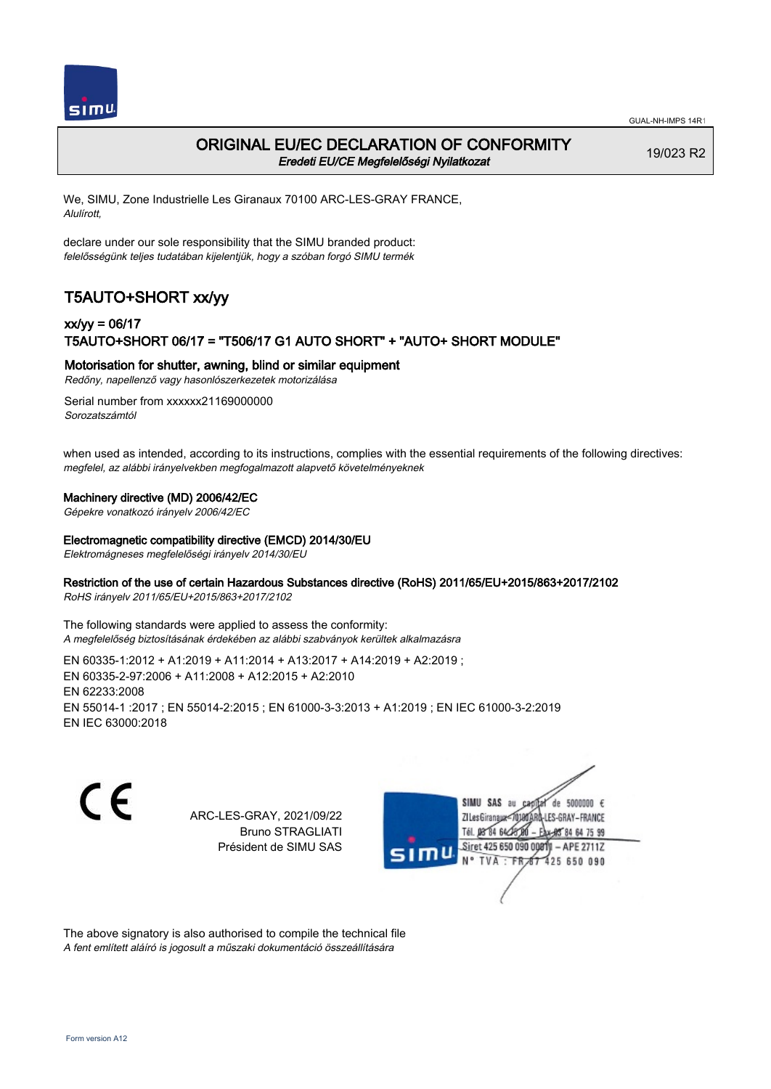

## ORIGINAL EU/EC DECLARATION OF CONFORMITY Eredeti EU/CE Megfelelőségi Nyilatkozat

19/023 R2

We, SIMU, Zone Industrielle Les Giranaux 70100 ARC-LES-GRAY FRANCE, Alulírott,

declare under our sole responsibility that the SIMU branded product: felelősségünk teljes tudatában kijelentjük, hogy a szóban forgó SIMU termék

# T5AUTO+SHORT xx/yy

## xx/yy = 06/17 T5AUTO+SHORT 06/17 = "T506/17 G1 AUTO SHORT" + "AUTO+ SHORT MODULE"

Motorisation for shutter, awning, blind or similar equipment

Redőny, napellenző vagy hasonlószerkezetek motorizálása

Serial number from xxxxxx21169000000 Sorozatszámtól

when used as intended, according to its instructions, complies with the essential requirements of the following directives: megfelel, az alábbi irányelvekben megfogalmazott alapvető követelményeknek

### Machinery directive (MD) 2006/42/EC

Gépekre vonatkozó irányelv 2006/42/EC

### Electromagnetic compatibility directive (EMCD) 2014/30/EU

Elektromágneses megfelelőségi irányelv 2014/30/EU

### Restriction of the use of certain Hazardous Substances directive (RoHS) 2011/65/EU+2015/863+2017/2102

RoHS irányelv 2011/65/EU+2015/863+2017/2102

The following standards were applied to assess the conformity: A megfelelőség biztosításának érdekében az alábbi szabványok kerültek alkalmazásra

EN 60335‑1:2012 + A1:2019 + A11:2014 + A13:2017 + A14:2019 + A2:2019 ; EN 60335‑2‑97:2006 + A11:2008 + A12:2015 + A2:2010 EN 62233:2008 EN 55014‑1 :2017 ; EN 55014‑2:2015 ; EN 61000‑3‑3:2013 + A1:2019 ; EN IEC 61000‑3‑2:2019 EN IEC 63000:2018

C F

ARC-LES-GRAY, 2021/09/22 Bruno STRAGLIATI Président de SIMU SAS



The above signatory is also authorised to compile the technical file A fent említett aláíró is jogosult a műszaki dokumentáció összeállítására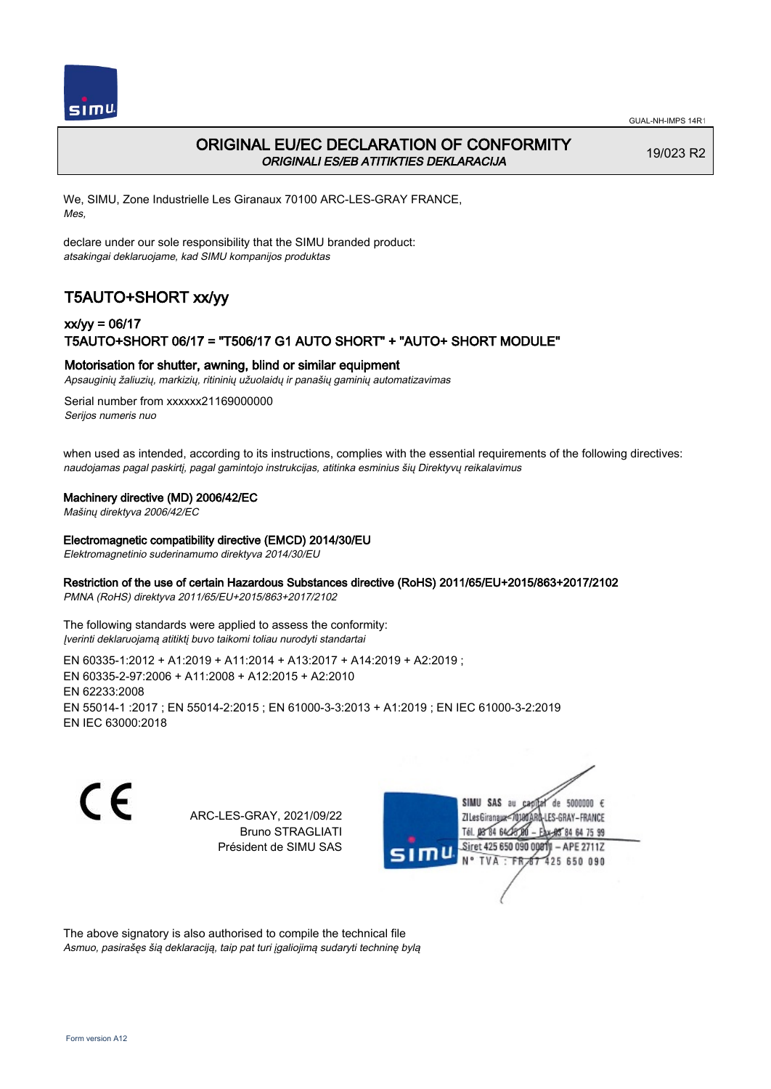

# ORIGINAL EU/EC DECLARATION OF CONFORMITY ORIGINALI ES/EB ATITIKTIES DEKLARACIJA

19/023 R2

We, SIMU, Zone Industrielle Les Giranaux 70100 ARC-LES-GRAY FRANCE, Mes,

declare under our sole responsibility that the SIMU branded product: atsakingai deklaruojame, kad SIMU kompanijos produktas

# T5AUTO+SHORT xx/yy

## xx/yy = 06/17 T5AUTO+SHORT 06/17 = "T506/17 G1 AUTO SHORT" + "AUTO+ SHORT MODULE"

### Motorisation for shutter, awning, blind or similar equipment

Apsauginių žaliuzių, markizių, ritininių užuolaidų ir panašių gaminių automatizavimas

Serial number from xxxxxx21169000000 Serijos numeris nuo

when used as intended, according to its instructions, complies with the essential requirements of the following directives: naudojamas pagal paskirtį, pagal gamintojo instrukcijas, atitinka esminius šių Direktyvų reikalavimus

### Machinery directive (MD) 2006/42/EC

Mašinų direktyva 2006/42/EC

#### Electromagnetic compatibility directive (EMCD) 2014/30/EU

Elektromagnetinio suderinamumo direktyva 2014/30/EU

### Restriction of the use of certain Hazardous Substances directive (RoHS) 2011/65/EU+2015/863+2017/2102

PMNA (RoHS) direktyva 2011/65/EU+2015/863+2017/2102

The following standards were applied to assess the conformity: Įverinti deklaruojamą atitiktį buvo taikomi toliau nurodyti standartai

EN 60335‑1:2012 + A1:2019 + A11:2014 + A13:2017 + A14:2019 + A2:2019 ; EN 60335‑2‑97:2006 + A11:2008 + A12:2015 + A2:2010 EN 62233:2008 EN 55014‑1 :2017 ; EN 55014‑2:2015 ; EN 61000‑3‑3:2013 + A1:2019 ; EN IEC 61000‑3‑2:2019 EN IEC 63000:2018

C F

ARC-LES-GRAY, 2021/09/22 Bruno STRAGLIATI Président de SIMU SAS



The above signatory is also authorised to compile the technical file Asmuo, pasirašęs šią deklaraciją, taip pat turi įgaliojimą sudaryti techninę bylą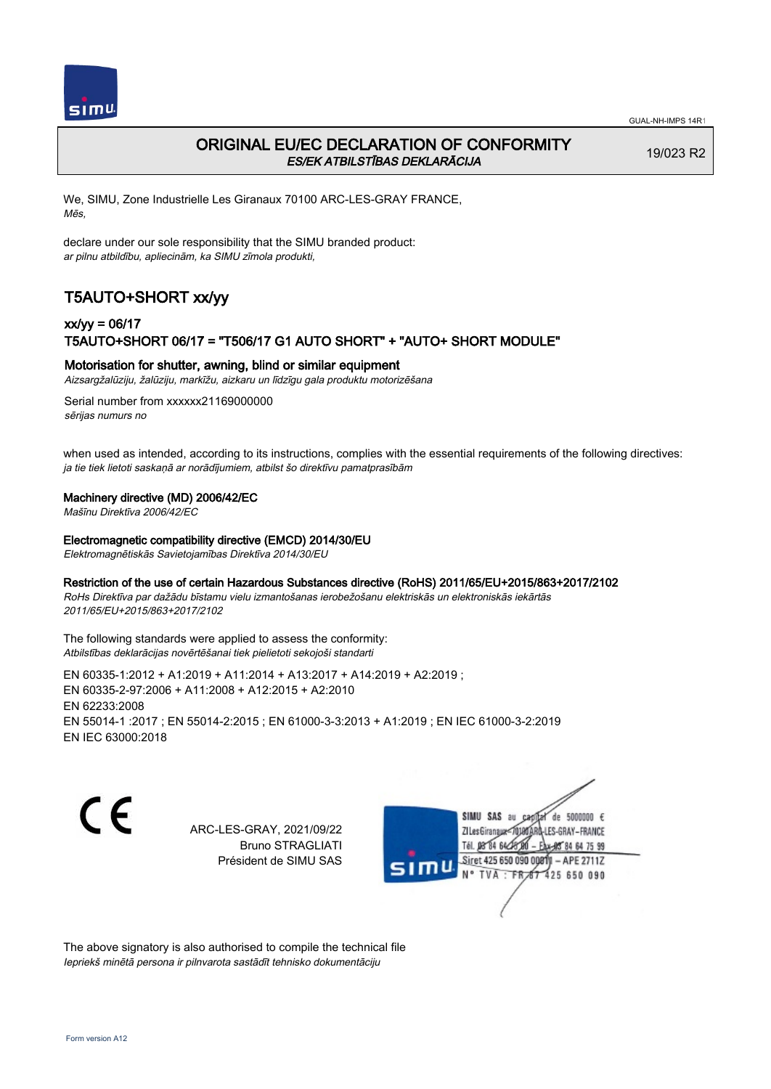

# ORIGINAL EU/EC DECLARATION OF CONFORMITY ES/EK ATBILSTĪBAS DEKLARĀCIJA

19/023 R2

We, SIMU, Zone Industrielle Les Giranaux 70100 ARC-LES-GRAY FRANCE, Mēs,

declare under our sole responsibility that the SIMU branded product: ar pilnu atbildību, apliecinām, ka SIMU zīmola produkti,

# T5AUTO+SHORT xx/yy

## xx/yy = 06/17 T5AUTO+SHORT 06/17 = "T506/17 G1 AUTO SHORT" + "AUTO+ SHORT MODULE"

### Motorisation for shutter, awning, blind or similar equipment

Aizsargžalūziju, žalūziju, markīžu, aizkaru un līdzīgu gala produktu motorizēšana

Serial number from xxxxxx21169000000 sērijas numurs no

when used as intended, according to its instructions, complies with the essential requirements of the following directives: ja tie tiek lietoti saskaņā ar norādījumiem, atbilst šo direktīvu pamatprasībām

### Machinery directive (MD) 2006/42/EC

Mašīnu Direktīva 2006/42/EC

#### Electromagnetic compatibility directive (EMCD) 2014/30/EU

Elektromagnētiskās Savietojamības Direktīva 2014/30/EU

#### Restriction of the use of certain Hazardous Substances directive (RoHS) 2011/65/EU+2015/863+2017/2102

RoHs Direktīva par dažādu bīstamu vielu izmantošanas ierobežošanu elektriskās un elektroniskās iekārtās 2011/65/EU+2015/863+2017/2102

The following standards were applied to assess the conformity: Atbilstības deklarācijas novērtēšanai tiek pielietoti sekojoši standarti

EN 60335‑1:2012 + A1:2019 + A11:2014 + A13:2017 + A14:2019 + A2:2019 ; EN 60335‑2‑97:2006 + A11:2008 + A12:2015 + A2:2010 EN 62233:2008 EN 55014‑1 :2017 ; EN 55014‑2:2015 ; EN 61000‑3‑3:2013 + A1:2019 ; EN IEC 61000‑3‑2:2019 EN IEC 63000:2018

C E

ARC-LES-GRAY, 2021/09/22 Bruno STRAGLIATI Président de SIMU SAS

SIMU SAS au de 5000000  $\epsilon$ **ZILesGiranaux** ES-GRAY-FRANCE 64 75 99 Siret 425 650 090 00811  $-$  APE 2711Z **TVA** 425 650 090

The above signatory is also authorised to compile the technical file Iepriekš minētā persona ir pilnvarota sastādīt tehnisko dokumentāciju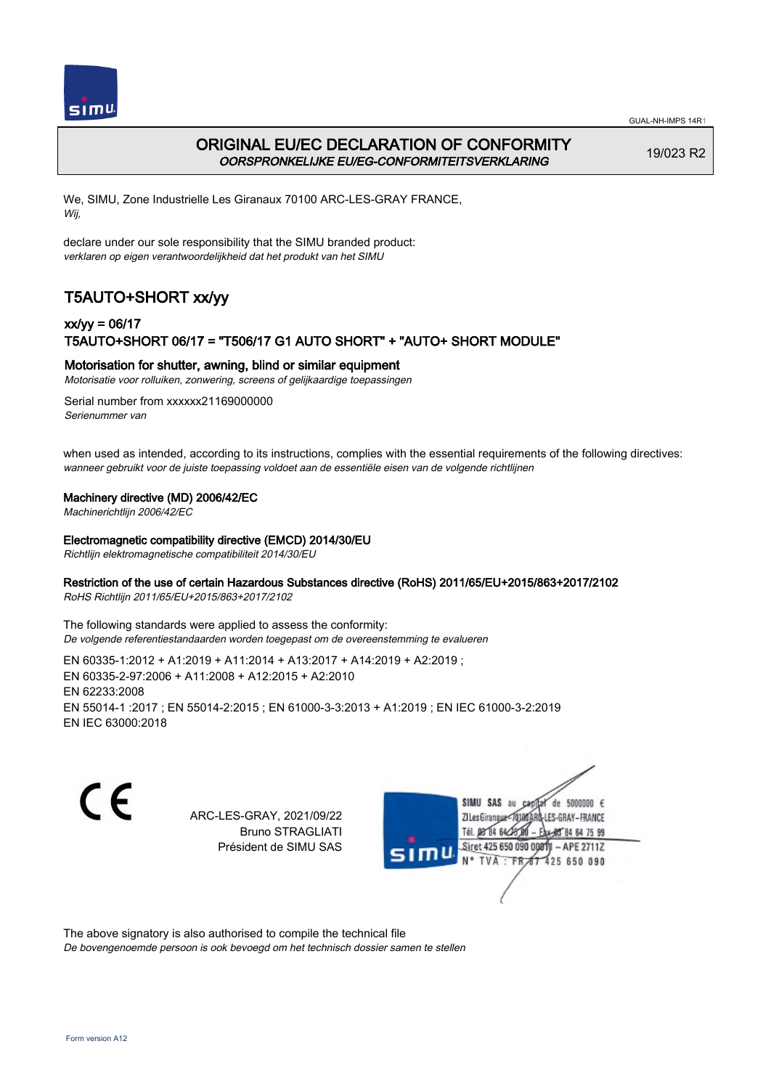

# ORIGINAL EU/EC DECLARATION OF CONFORMITY OORSPRONKELIJKE EU/EG-CONFORMITEITSVERKLARING

19/023 R2

We, SIMU, Zone Industrielle Les Giranaux 70100 ARC-LES-GRAY FRANCE, Wij,

declare under our sole responsibility that the SIMU branded product: verklaren op eigen verantwoordelijkheid dat het produkt van het SIMU

# T5AUTO+SHORT xx/yy

# xx/yy = 06/17 T5AUTO+SHORT 06/17 = "T506/17 G1 AUTO SHORT" + "AUTO+ SHORT MODULE"

### Motorisation for shutter, awning, blind or similar equipment

Motorisatie voor rolluiken, zonwering, screens of gelijkaardige toepassingen

Serial number from xxxxxx21169000000 Serienummer van

when used as intended, according to its instructions, complies with the essential requirements of the following directives: wanneer gebruikt voor de juiste toepassing voldoet aan de essentiële eisen van de volgende richtlijnen

### Machinery directive (MD) 2006/42/EC

Machinerichtlijn 2006/42/EC

#### Electromagnetic compatibility directive (EMCD) 2014/30/EU

Richtlijn elektromagnetische compatibiliteit 2014/30/EU

### Restriction of the use of certain Hazardous Substances directive (RoHS) 2011/65/EU+2015/863+2017/2102

RoHS Richtlijn 2011/65/EU+2015/863+2017/2102

The following standards were applied to assess the conformity: De volgende referentiestandaarden worden toegepast om de overeenstemming te evalueren

EN 60335‑1:2012 + A1:2019 + A11:2014 + A13:2017 + A14:2019 + A2:2019 ; EN 60335‑2‑97:2006 + A11:2008 + A12:2015 + A2:2010 EN 62233:2008 EN 55014‑1 :2017 ; EN 55014‑2:2015 ; EN 61000‑3‑3:2013 + A1:2019 ; EN IEC 61000‑3‑2:2019 EN IEC 63000:2018

C F

ARC-LES-GRAY, 2021/09/22 Bruno STRAGLIATI Président de SIMU SAS



The above signatory is also authorised to compile the technical file

De bovengenoemde persoon is ook bevoegd om het technisch dossier samen te stellen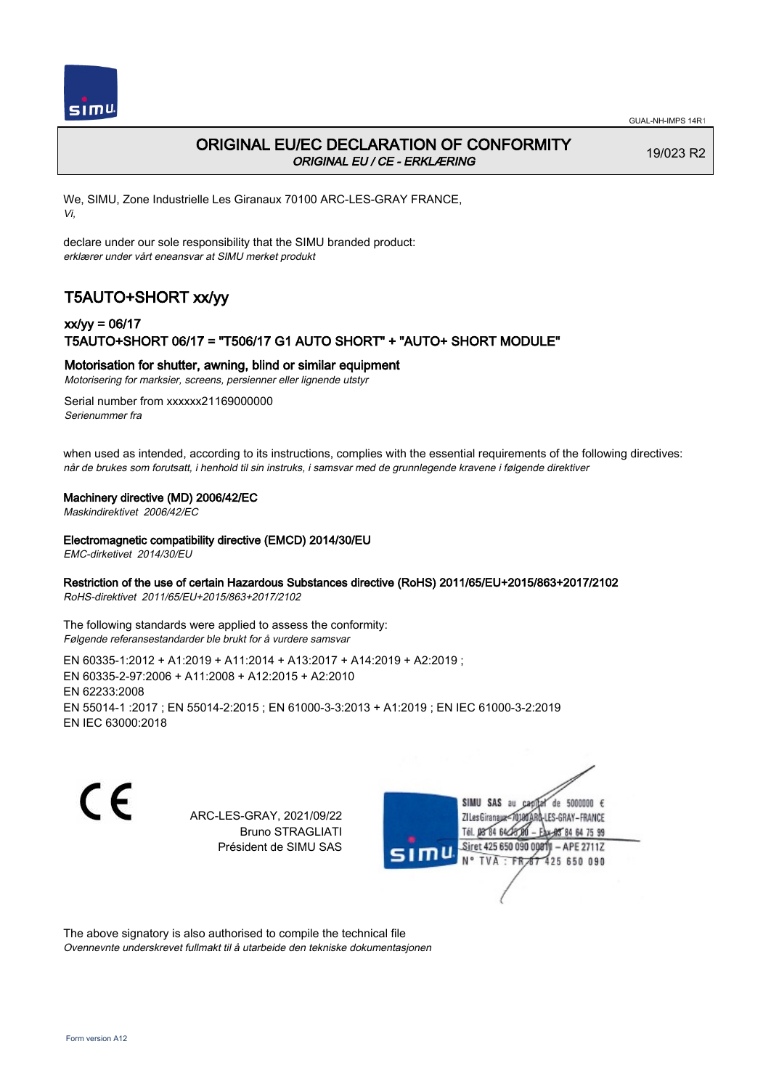

# ORIGINAL EU/EC DECLARATION OF CONFORMITY ORIGINAL EU / CE - ERKLÆRING

19/023 R2

We, SIMU, Zone Industrielle Les Giranaux 70100 ARC-LES-GRAY FRANCE, Vi,

declare under our sole responsibility that the SIMU branded product: erklærer under vårt eneansvar at SIMU merket produkt

# T5AUTO+SHORT xx/yy

# xx/yy = 06/17 T5AUTO+SHORT 06/17 = "T506/17 G1 AUTO SHORT" + "AUTO+ SHORT MODULE"

### Motorisation for shutter, awning, blind or similar equipment

Motorisering for marksier, screens, persienner eller lignende utstyr

Serial number from xxxxxx21169000000 Serienummer fra

when used as intended, according to its instructions, complies with the essential requirements of the following directives: når de brukes som forutsatt, i henhold til sin instruks, i samsvar med de grunnlegende kravene i følgende direktiver

#### Machinery directive (MD) 2006/42/EC

Maskindirektivet 2006/42/EC

#### Electromagnetic compatibility directive (EMCD) 2014/30/EU

EMC-dirketivet 2014/30/EU

### Restriction of the use of certain Hazardous Substances directive (RoHS) 2011/65/EU+2015/863+2017/2102

RoHS-direktivet 2011/65/EU+2015/863+2017/2102

The following standards were applied to assess the conformity: Følgende referansestandarder ble brukt for å vurdere samsvar

EN 60335‑1:2012 + A1:2019 + A11:2014 + A13:2017 + A14:2019 + A2:2019 ; EN 60335‑2‑97:2006 + A11:2008 + A12:2015 + A2:2010 EN 62233:2008 EN 55014‑1 :2017 ; EN 55014‑2:2015 ; EN 61000‑3‑3:2013 + A1:2019 ; EN IEC 61000‑3‑2:2019 EN IEC 63000:2018

 $\epsilon$ 

ARC-LES-GRAY, 2021/09/22 Bruno STRAGLIATI Président de SIMU SAS



The above signatory is also authorised to compile the technical file Ovennevnte underskrevet fullmakt til å utarbeide den tekniske dokumentasjonen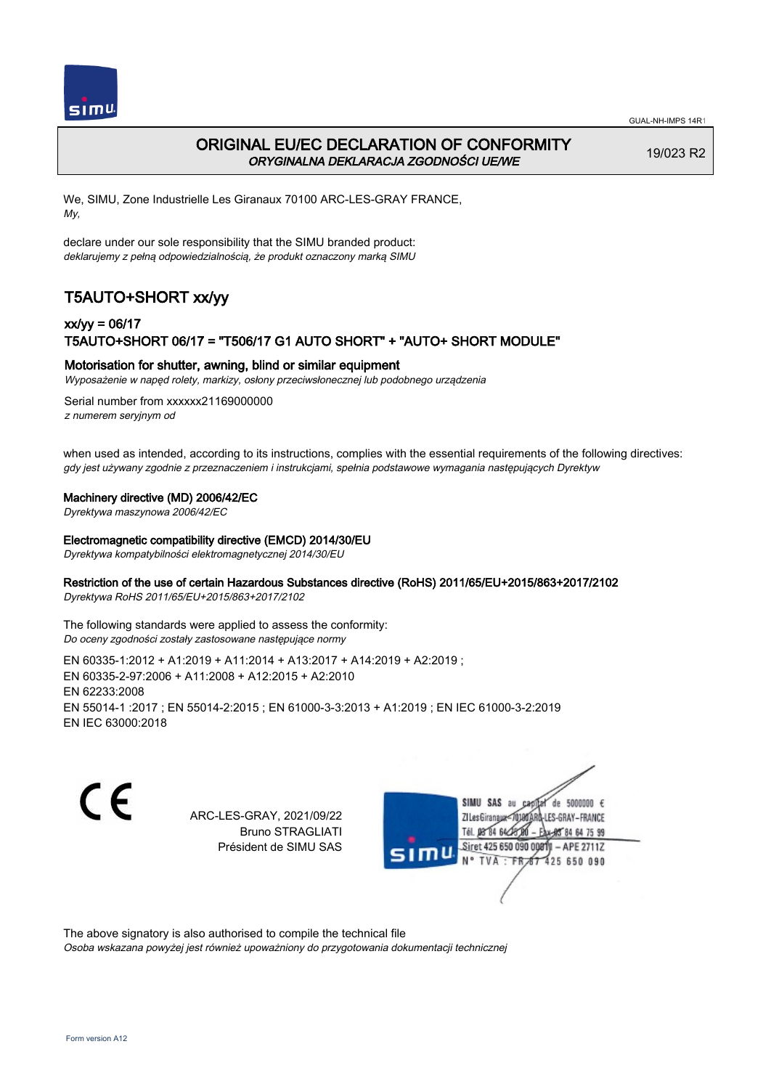

# ORIGINAL EU/EC DECLARATION OF CONFORMITY ORYGINALNA DEKLARACJA ZGODNOŚCI UE/WE

19/023 R2

We, SIMU, Zone Industrielle Les Giranaux 70100 ARC-LES-GRAY FRANCE, My,

declare under our sole responsibility that the SIMU branded product: deklarujemy z pełną odpowiedzialnością, że produkt oznaczony marką SIMU

# T5AUTO+SHORT xx/yy

## xx/yy = 06/17 T5AUTO+SHORT 06/17 = "T506/17 G1 AUTO SHORT" + "AUTO+ SHORT MODULE"

### Motorisation for shutter, awning, blind or similar equipment

Wyposażenie w napęd rolety, markizy, osłony przeciwsłonecznej lub podobnego urządzenia

Serial number from xxxxxx21169000000 z numerem seryjnym od

when used as intended, according to its instructions, complies with the essential requirements of the following directives: gdy jest używany zgodnie z przeznaczeniem i instrukcjami, spełnia podstawowe wymagania następujących Dyrektyw

#### Machinery directive (MD) 2006/42/EC

Dyrektywa maszynowa 2006/42/EC

#### Electromagnetic compatibility directive (EMCD) 2014/30/EU

Dyrektywa kompatybilności elektromagnetycznej 2014/30/EU

### Restriction of the use of certain Hazardous Substances directive (RoHS) 2011/65/EU+2015/863+2017/2102

Dyrektywa RoHS 2011/65/EU+2015/863+2017/2102

The following standards were applied to assess the conformity: Do oceny zgodności zostały zastosowane następujące normy

EN 60335‑1:2012 + A1:2019 + A11:2014 + A13:2017 + A14:2019 + A2:2019 ; EN 60335‑2‑97:2006 + A11:2008 + A12:2015 + A2:2010 EN 62233:2008 EN 55014‑1 :2017 ; EN 55014‑2:2015 ; EN 61000‑3‑3:2013 + A1:2019 ; EN IEC 61000‑3‑2:2019 EN IEC 63000:2018

C F

ARC-LES-GRAY, 2021/09/22 Bruno STRAGLIATI Président de SIMU SAS

de 5000000  $\epsilon$ **ZILes Giranaux** ES-GRAY-FRANCE Tél. 08 84 64 24 85 84 64 75 99 Siret 425 650 090 00811 - APE 2711Z TVA 425 650 090

The above signatory is also authorised to compile the technical file

Osoba wskazana powyżej jest również upoważniony do przygotowania dokumentacji technicznej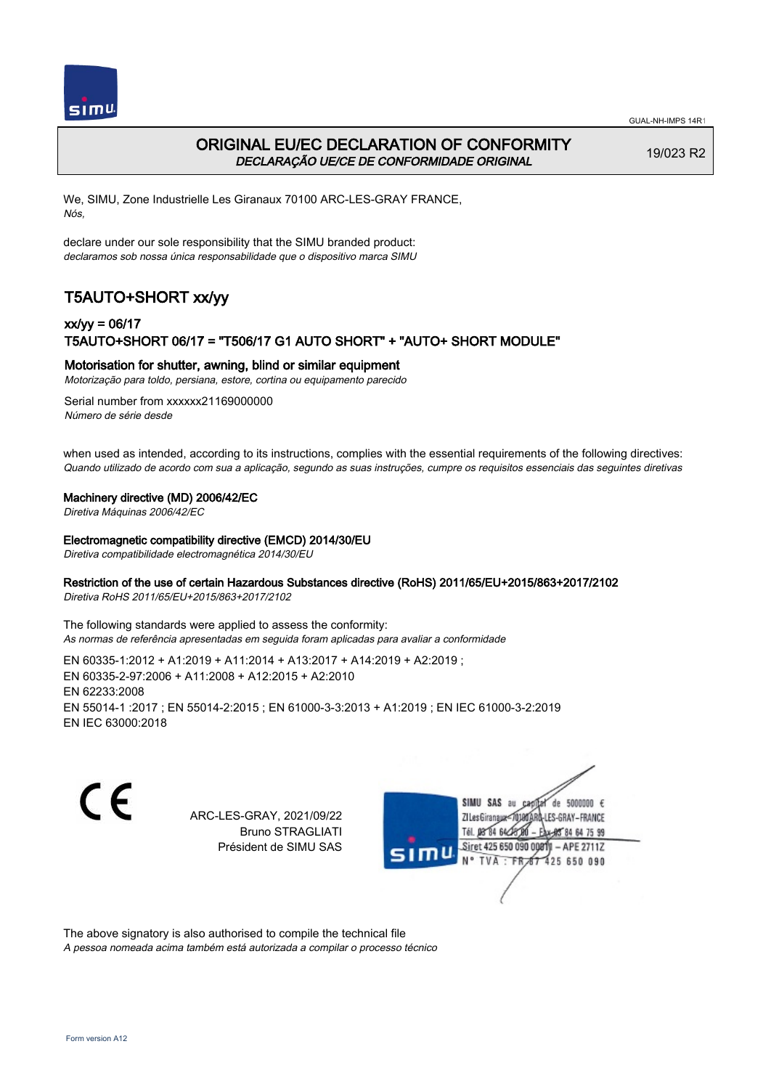



# ORIGINAL EU/EC DECLARATION OF CONFORMITY DECLARAÇÃO UE/CE DE CONFORMIDADE ORIGINAL

19/023 R2

We, SIMU, Zone Industrielle Les Giranaux 70100 ARC-LES-GRAY FRANCE, Nós,

declare under our sole responsibility that the SIMU branded product: declaramos sob nossa única responsabilidade que o dispositivo marca SIMU

# T5AUTO+SHORT xx/yy

## xx/yy = 06/17 T5AUTO+SHORT 06/17 = "T506/17 G1 AUTO SHORT" + "AUTO+ SHORT MODULE"

### Motorisation for shutter, awning, blind or similar equipment

Motorização para toldo, persiana, estore, cortina ou equipamento parecido

Serial number from xxxxxx21169000000 Número de série desde

when used as intended, according to its instructions, complies with the essential requirements of the following directives: Quando utilizado de acordo com sua a aplicação, segundo as suas instruções, cumpre os requisitos essenciais das seguintes diretivas

#### Machinery directive (MD) 2006/42/EC

Diretiva Máquinas 2006/42/EC

#### Electromagnetic compatibility directive (EMCD) 2014/30/EU

Diretiva compatibilidade electromagnética 2014/30/EU

### Restriction of the use of certain Hazardous Substances directive (RoHS) 2011/65/EU+2015/863+2017/2102

Diretiva RoHS 2011/65/EU+2015/863+2017/2102

The following standards were applied to assess the conformity: As normas de referência apresentadas em seguida foram aplicadas para avaliar a conformidade

EN 60335‑1:2012 + A1:2019 + A11:2014 + A13:2017 + A14:2019 + A2:2019 ; EN 60335‑2‑97:2006 + A11:2008 + A12:2015 + A2:2010 EN 62233:2008 EN 55014‑1 :2017 ; EN 55014‑2:2015 ; EN 61000‑3‑3:2013 + A1:2019 ; EN IEC 61000‑3‑2:2019 EN IEC 63000:2018

C F

ARC-LES-GRAY, 2021/09/22 Bruno STRAGLIATI Président de SIMU SAS



The above signatory is also authorised to compile the technical file

A pessoa nomeada acima também está autorizada a compilar o processo técnico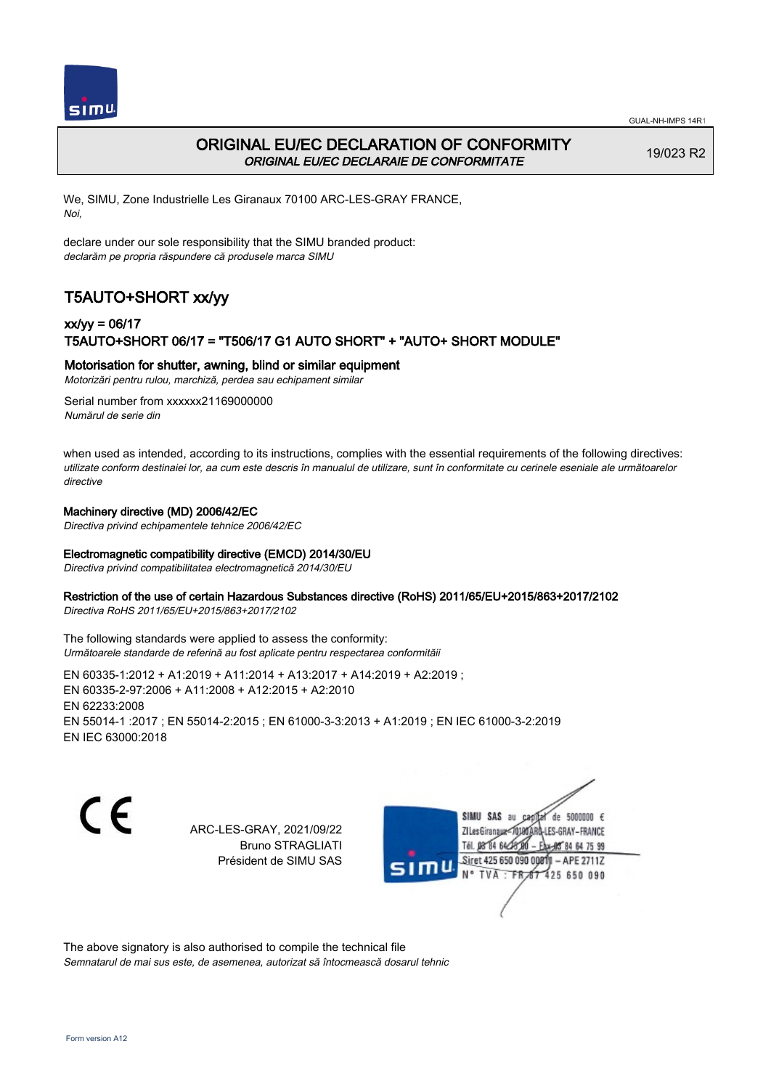



## ORIGINAL EU/EC DECLARATION OF CONFORMITY ORIGINAL EU/EC DECLARAIE DE CONFORMITATE

19/023 R2

We, SIMU, Zone Industrielle Les Giranaux 70100 ARC-LES-GRAY FRANCE, Noi,

declare under our sole responsibility that the SIMU branded product: declarăm pe propria răspundere că produsele marca SIMU

# T5AUTO+SHORT xx/yy

## xx/yy = 06/17 T5AUTO+SHORT 06/17 = "T506/17 G1 AUTO SHORT" + "AUTO+ SHORT MODULE"

#### Motorisation for shutter, awning, blind or similar equipment

Motorizări pentru rulou, marchiză, perdea sau echipament similar

Serial number from xxxxxx21169000000 Numărul de serie din

when used as intended, according to its instructions, complies with the essential requirements of the following directives: utilizate conform destinaiei lor, aa cum este descris în manualul de utilizare, sunt în conformitate cu cerinele eseniale ale următoarelor directive

#### Machinery directive (MD) 2006/42/EC

Directiva privind echipamentele tehnice 2006/42/EC

### Electromagnetic compatibility directive (EMCD) 2014/30/EU

Directiva privind compatibilitatea electromagnetică 2014/30/EU

#### Restriction of the use of certain Hazardous Substances directive (RoHS) 2011/65/EU+2015/863+2017/2102

Directiva RoHS 2011/65/EU+2015/863+2017/2102

The following standards were applied to assess the conformity: Următoarele standarde de referină au fost aplicate pentru respectarea conformităii

EN 60335‑1:2012 + A1:2019 + A11:2014 + A13:2017 + A14:2019 + A2:2019 ; EN 60335‑2‑97:2006 + A11:2008 + A12:2015 + A2:2010 EN 62233:2008 EN 55014‑1 :2017 ; EN 55014‑2:2015 ; EN 61000‑3‑3:2013 + A1:2019 ; EN IEC 61000‑3‑2:2019 EN IEC 63000:2018

C E

ARC-LES-GRAY, 2021/09/22 Bruno STRAGLIATI Président de SIMU SAS

SIMU SAS de 5000000 € **ZILes Giranaux** ES-GRAY-FRANCE 64 75 99 Siret 425 650 090 00811  $-$  APE 2711Z 425 650 090

The above signatory is also authorised to compile the technical file Semnatarul de mai sus este, de asemenea, autorizat să întocmească dosarul tehnic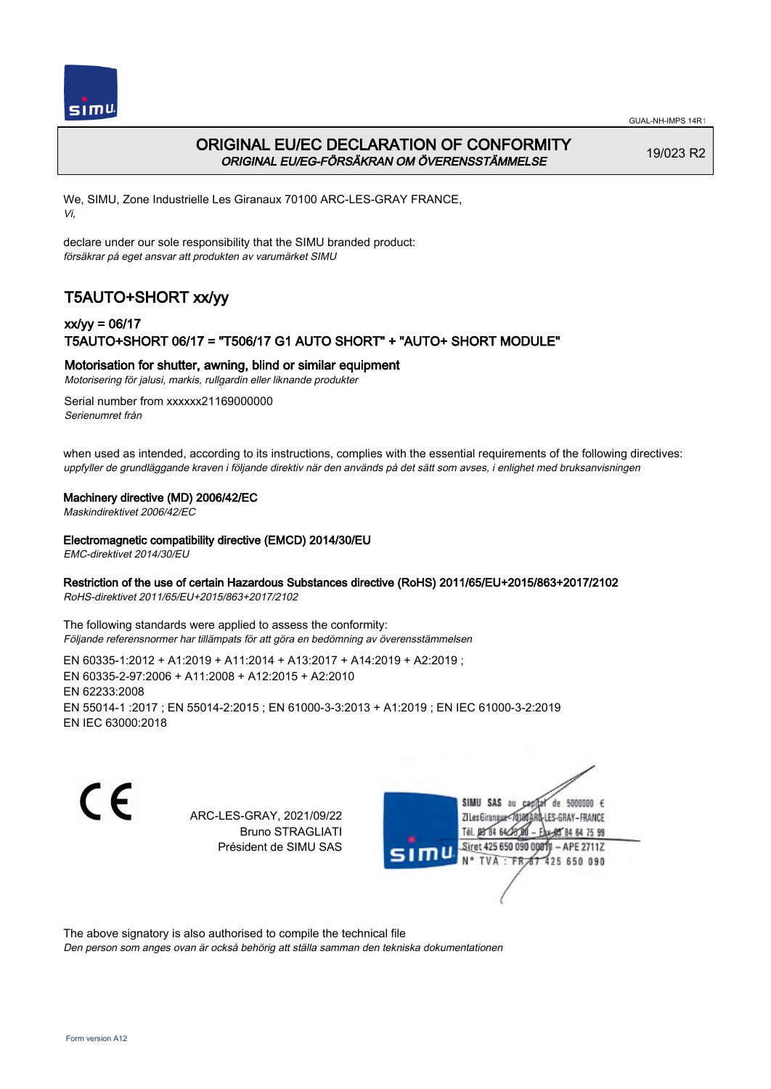

# ORIGINAL EU/EC DECLARATION OF CONFORMITY ORIGINAL EU/EG-FÖRSÄKRAN OM ÖVERENSSTÄMMELSE

19/023 R2

We, SIMU, Zone Industrielle Les Giranaux 70100 ARC-LES-GRAY FRANCE, Vi,

declare under our sole responsibility that the SIMU branded product: försäkrar på eget ansvar att produkten av varumärket SIMU

# T5AUTO+SHORT xx/yy

## xx/yy = 06/17 T5AUTO+SHORT 06/17 = "T506/17 G1 AUTO SHORT" + "AUTO+ SHORT MODULE"

### Motorisation for shutter, awning, blind or similar equipment

Motorisering för jalusi, markis, rullgardin eller liknande produkter

Serial number from xxxxxx21169000000 Serienumret från

when used as intended, according to its instructions, complies with the essential requirements of the following directives: uppfyller de grundläggande kraven i följande direktiv när den används på det sätt som avses, i enlighet med bruksanvisningen

### Machinery directive (MD) 2006/42/EC

Maskindirektivet 2006/42/EC

### Electromagnetic compatibility directive (EMCD) 2014/30/EU

EMC-direktivet 2014/30/EU

### Restriction of the use of certain Hazardous Substances directive (RoHS) 2011/65/EU+2015/863+2017/2102

RoHS-direktivet 2011/65/EU+2015/863+2017/2102

The following standards were applied to assess the conformity: Följande referensnormer har tillämpats för att göra en bedömning av överensstämmelsen

EN 60335‑1:2012 + A1:2019 + A11:2014 + A13:2017 + A14:2019 + A2:2019 ; EN 60335‑2‑97:2006 + A11:2008 + A12:2015 + A2:2010 EN 62233:2008 EN 55014‑1 :2017 ; EN 55014‑2:2015 ; EN 61000‑3‑3:2013 + A1:2019 ; EN IEC 61000‑3‑2:2019 EN IEC 63000:2018

 $\epsilon$ 

ARC-LES-GRAY, 2021/09/22 Bruno STRAGLIATI Président de SIMU SAS

de 5000000  $\epsilon$ **ZI Les Giranaux** ES-GRAY-FRANCE Tél. 08 84 64 24 84 64 75 99 Siret 425 650 090 00811 - APE 2711Z 425 650 090 TVA

The above signatory is also authorised to compile the technical file

Den person som anges ovan är också behörig att ställa samman den tekniska dokumentationen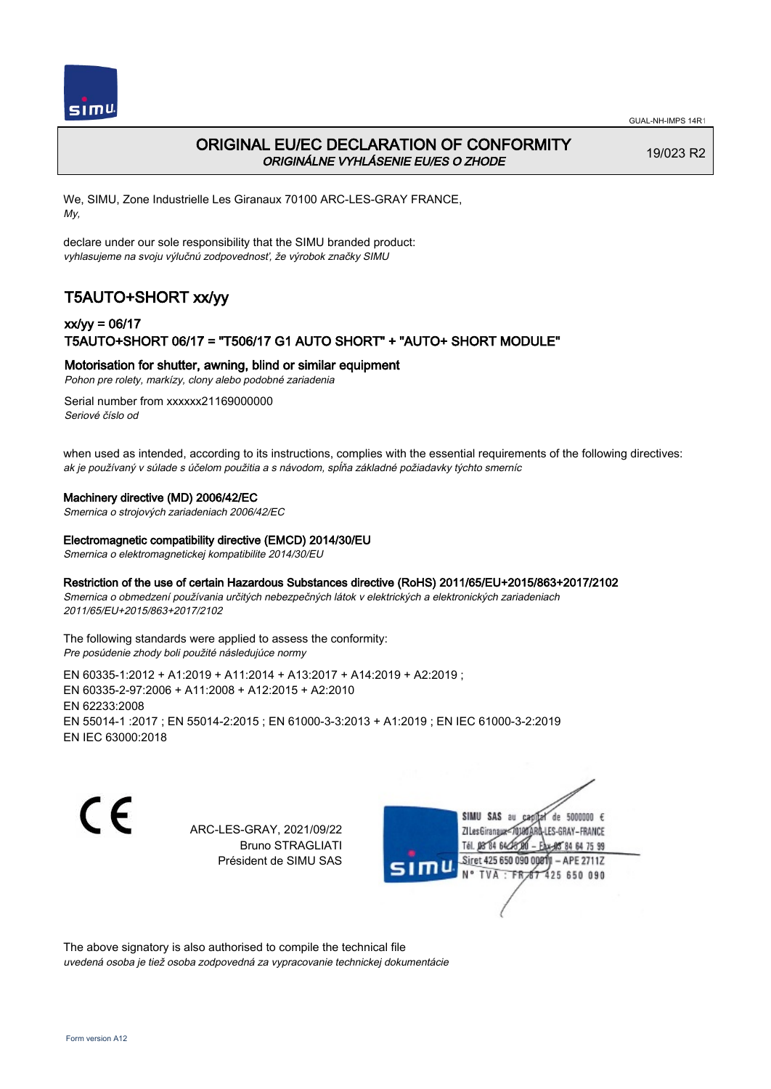

# ORIGINAL EU/EC DECLARATION OF CONFORMITY ORIGINÁLNE VYHLÁSENIE EU/ES O ZHODE

19/023 R2

We, SIMU, Zone Industrielle Les Giranaux 70100 ARC-LES-GRAY FRANCE, My,

declare under our sole responsibility that the SIMU branded product: vyhlasujeme na svoju výlučnú zodpovednosť, že výrobok značky SIMU

# T5AUTO+SHORT xx/yy

## xx/yy = 06/17 T5AUTO+SHORT 06/17 = "T506/17 G1 AUTO SHORT" + "AUTO+ SHORT MODULE"

Motorisation for shutter, awning, blind or similar equipment

Pohon pre rolety, markízy, clony alebo podobné zariadenia

Serial number from xxxxxx21169000000 Seriové číslo od

when used as intended, according to its instructions, complies with the essential requirements of the following directives: ak je používaný v súlade s účelom použitia a s návodom, spĺňa základné požiadavky týchto smerníc

### Machinery directive (MD) 2006/42/EC

Smernica o strojových zariadeniach 2006/42/EC

### Electromagnetic compatibility directive (EMCD) 2014/30/EU

Smernica o elektromagnetickej kompatibilite 2014/30/EU

### Restriction of the use of certain Hazardous Substances directive (RoHS) 2011/65/EU+2015/863+2017/2102

Smernica o obmedzení používania určitých nebezpečných látok v elektrických a elektronických zariadeniach 2011/65/EU+2015/863+2017/2102

#### The following standards were applied to assess the conformity: Pre posúdenie zhody boli použité následujúce normy

EN 60335‑1:2012 + A1:2019 + A11:2014 + A13:2017 + A14:2019 + A2:2019 ; EN 60335‑2‑97:2006 + A11:2008 + A12:2015 + A2:2010 EN 62233:2008 EN 55014‑1 :2017 ; EN 55014‑2:2015 ; EN 61000‑3‑3:2013 + A1:2019 ; EN IEC 61000‑3‑2:2019 EN IEC 63000:2018

C E

ARC-LES-GRAY, 2021/09/22 Bruno STRAGLIATI Président de SIMU SAS

SIMU SAS de 5000000  $\epsilon$ **ZILes Giranaux** ES-GRAY-FRANCE 64 75 99 Siret 425 650 090 00811  $-$  APE 2711Z 425 650 090

The above signatory is also authorised to compile the technical file uvedená osoba je tiež osoba zodpovedná za vypracovanie technickej dokumentácie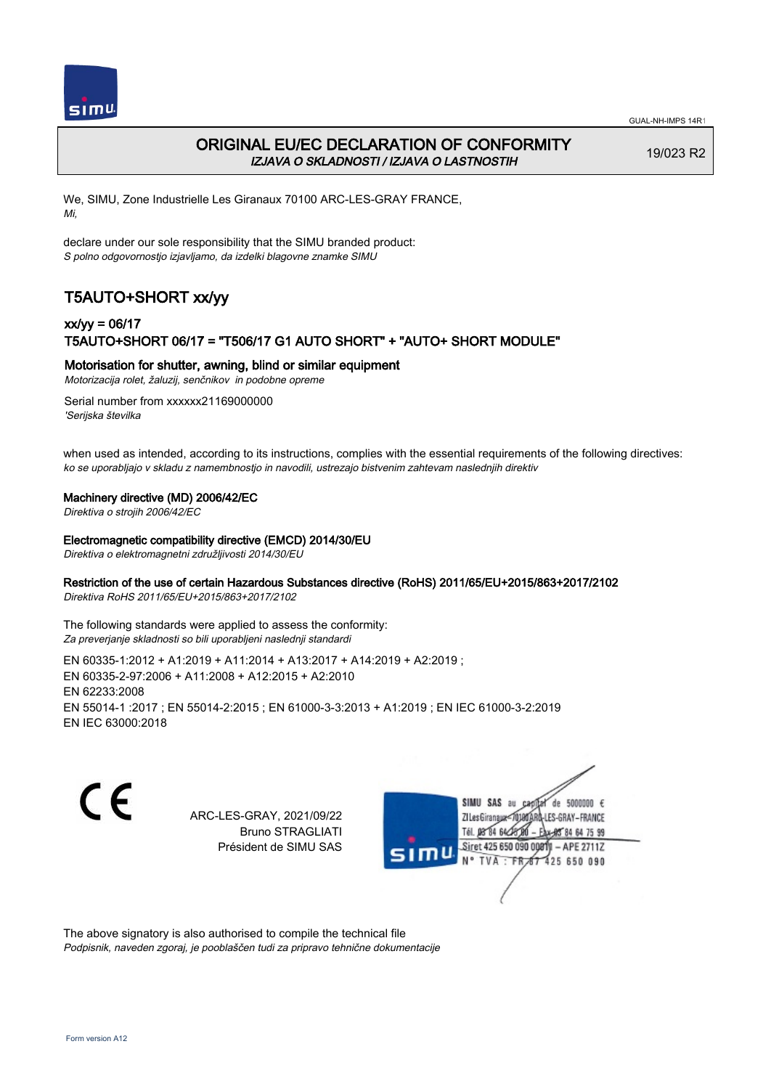

# ORIGINAL EU/EC DECLARATION OF CONFORMITY IZJAVA O SKLADNOSTI / IZJAVA O LASTNOSTIH

19/023 R2

We, SIMU, Zone Industrielle Les Giranaux 70100 ARC-LES-GRAY FRANCE, Mi,

declare under our sole responsibility that the SIMU branded product: S polno odgovornostjo izjavljamo, da izdelki blagovne znamke SIMU

# T5AUTO+SHORT xx/yy

# xx/yy = 06/17 T5AUTO+SHORT 06/17 = "T506/17 G1 AUTO SHORT" + "AUTO+ SHORT MODULE"

### Motorisation for shutter, awning, blind or similar equipment

Motorizacija rolet, žaluzij, senčnikov in podobne opreme

Serial number from xxxxxx21169000000 'Serijska številka

when used as intended, according to its instructions, complies with the essential requirements of the following directives: ko se uporabljajo v skladu z namembnostjo in navodili, ustrezajo bistvenim zahtevam naslednjih direktiv

### Machinery directive (MD) 2006/42/EC

Direktiva o strojih 2006/42/EC

#### Electromagnetic compatibility directive (EMCD) 2014/30/EU

Direktiva o elektromagnetni združljivosti 2014/30/EU

### Restriction of the use of certain Hazardous Substances directive (RoHS) 2011/65/EU+2015/863+2017/2102

Direktiva RoHS 2011/65/EU+2015/863+2017/2102

The following standards were applied to assess the conformity: Za preverjanje skladnosti so bili uporabljeni naslednji standardi

EN 60335‑1:2012 + A1:2019 + A11:2014 + A13:2017 + A14:2019 + A2:2019 ; EN 60335‑2‑97:2006 + A11:2008 + A12:2015 + A2:2010 EN 62233:2008 EN 55014‑1 :2017 ; EN 55014‑2:2015 ; EN 61000‑3‑3:2013 + A1:2019 ; EN IEC 61000‑3‑2:2019 EN IEC 63000:2018

C F

ARC-LES-GRAY, 2021/09/22 Bruno STRAGLIATI Président de SIMU SAS



The above signatory is also authorised to compile the technical file Podpisnik, naveden zgoraj, je pooblaščen tudi za pripravo tehnične dokumentacije